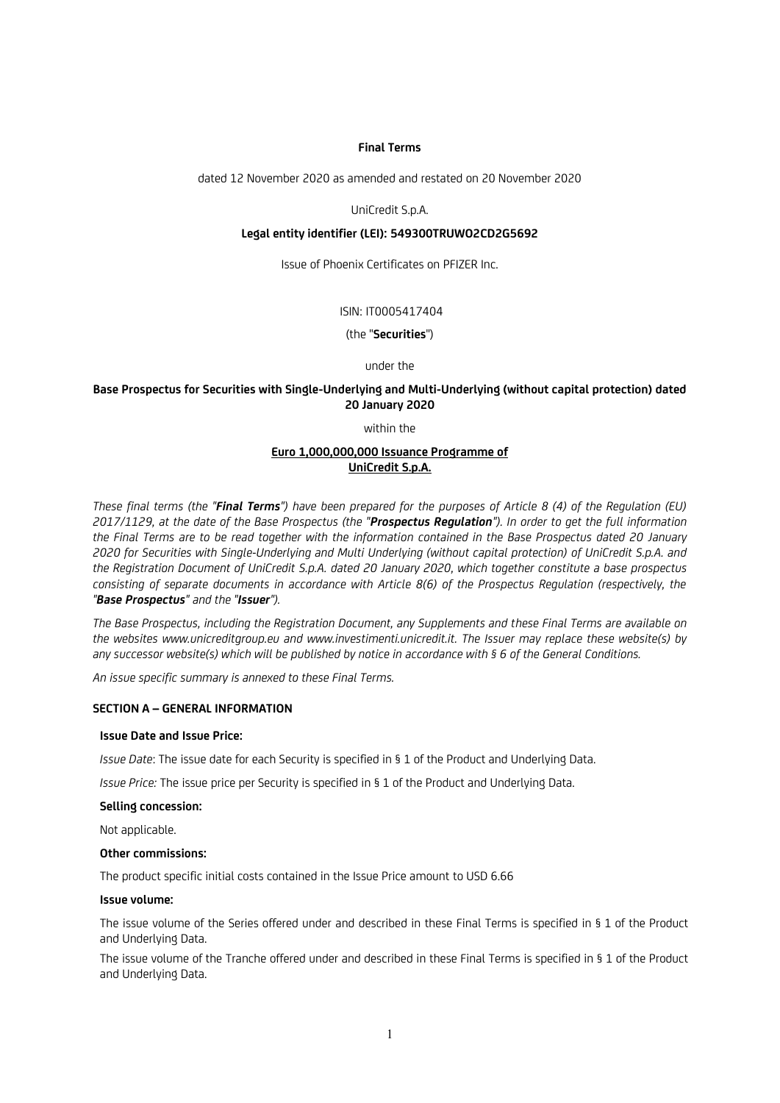### **Final Terms**

dated 12 November 2020 as amended and restated on 20 November 2020

UniCredit S.p.A.

### **Legal entity identifier (LEI): 549300TRUWO2CD2G5692**

Issue of Phoenix Certificates on PFIZER Inc.

## ISIN: IT0005417404

(the "**Securities**")

## under the

## **Base Prospectus for Securities with Single-Underlying and Multi-Underlying (without capital protection) dated 20 January 2020**

within the

## **Euro 1,000,000,000 Issuance Programme of UniCredit S.p.A.**

*These final terms (the "Final Terms") have been prepared for the purposes of Article 8 (4) of the Regulation (EU) 2017/1129, at the date of the Base Prospectus (the "Prospectus Regulation"). In order to get the full information the Final Terms are to be read together with the information contained in the Base Prospectus dated 20 January 2020 for Securities with Single-Underlying and Multi Underlying (without capital protection) of UniCredit S.p.A. and the Registration Document of UniCredit S.p.A. dated 20 January 2020, which together constitute a base prospectus consisting of separate documents in accordance with Article 8(6) of the Prospectus Regulation (respectively, the "Base Prospectus" and the "Issuer").*

*The Base Prospectus, including the Registration Document, any Supplements and these Final Terms are available on the websites www.unicreditgroup.eu and www.investimenti.unicredit.it. The Issuer may replace these website(s) by any successor website(s) which will be published by notice in accordance with § 6 of the General Conditions.*

*An issue specific summary is annexed to these Final Terms.*

## **SECTION A – GENERAL INFORMATION**

## **Issue Date and Issue Price:**

*Issue Date*: The issue date for each Security is specified in § 1 of the Product and Underlying Data.

*Issue Price:* The issue price per Security is specified in § 1 of the Product and Underlying Data.

### **Selling concession:**

Not applicable.

### **Other commissions:**

The product specific initial costs contained in the Issue Price amount to USD 6.66

### **Issue volume:**

The issue volume of the Series offered under and described in these Final Terms is specified in § 1 of the Product and Underlying Data.

The issue volume of the Tranche offered under and described in these Final Terms is specified in § 1 of the Product and Underlying Data.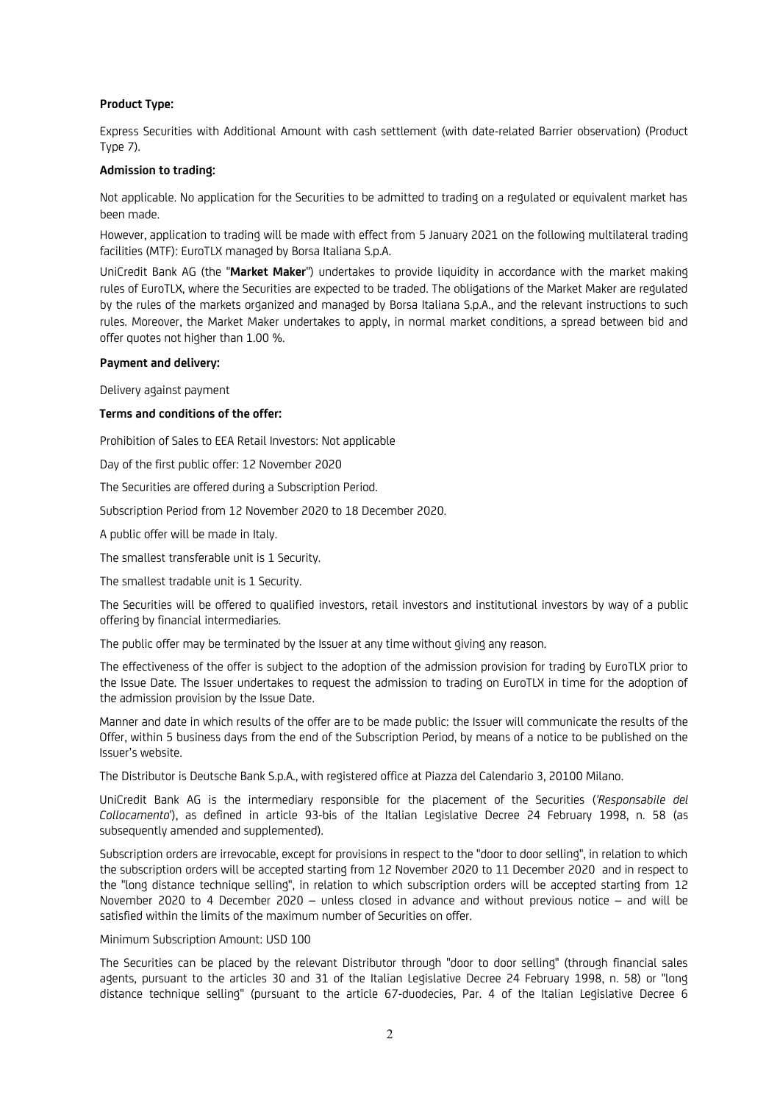## **Product Type:**

Express Securities with Additional Amount with cash settlement (with date-related Barrier observation) (Product Type 7).

### **Admission to trading:**

Not applicable. No application for the Securities to be admitted to trading on a regulated or equivalent market has been made.

However, application to trading will be made with effect from 5 January 2021 on the following multilateral trading facilities (MTF): EuroTLX managed by Borsa Italiana S.p.A.

UniCredit Bank AG (the "**Market Maker**") undertakes to provide liquidity in accordance with the market making rules of EuroTLX, where the Securities are expected to be traded. The obligations of the Market Maker are regulated by the rules of the markets organized and managed by Borsa Italiana S.p.A., and the relevant instructions to such rules. Moreover, the Market Maker undertakes to apply, in normal market conditions, a spread between bid and offer quotes not higher than 1.00 %.

### **Payment and delivery:**

Delivery against payment

## **Terms and conditions of the offer:**

Prohibition of Sales to EEA Retail Investors: Not applicable

Day of the first public offer: 12 November 2020

The Securities are offered during a Subscription Period.

Subscription Period from 12 November 2020 to 18 December 2020.

A public offer will be made in Italy.

The smallest transferable unit is 1 Security.

The smallest tradable unit is 1 Security.

The Securities will be offered to qualified investors, retail investors and institutional investors by way of a public offering by financial intermediaries.

The public offer may be terminated by the Issuer at any time without giving any reason.

The effectiveness of the offer is subject to the adoption of the admission provision for trading by EuroTLX prior to the Issue Date. The Issuer undertakes to request the admission to trading on EuroTLX in time for the adoption of the admission provision by the Issue Date.

Manner and date in which results of the offer are to be made public: the Issuer will communicate the results of the Offer, within 5 business days from the end of the Subscription Period, by means of a notice to be published on the Issuer's website.

The Distributor is Deutsche Bank S.p.A., with registered office at Piazza del Calendario 3, 20100 Milano.

UniCredit Bank AG is the intermediary responsible for the placement of the Securities (*'Responsabile del Collocamento*'), as defined in article 93-bis of the Italian Legislative Decree 24 February 1998, n. 58 (as subsequently amended and supplemented).

Subscription orders are irrevocable, except for provisions in respect to the "door to door selling", in relation to which the subscription orders will be accepted starting from 12 November 2020 to 11 December 2020 and in respect to the "long distance technique selling", in relation to which subscription orders will be accepted starting from 12 November 2020 to 4 December 2020 – unless closed in advance and without previous notice – and will be satisfied within the limits of the maximum number of Securities on offer.

### Minimum Subscription Amount: USD 100

The Securities can be placed by the relevant Distributor through "door to door selling" (through financial sales agents, pursuant to the articles 30 and 31 of the Italian Legislative Decree 24 February 1998, n. 58) or "long distance technique selling" (pursuant to the article 67-duodecies, Par. 4 of the Italian Legislative Decree 6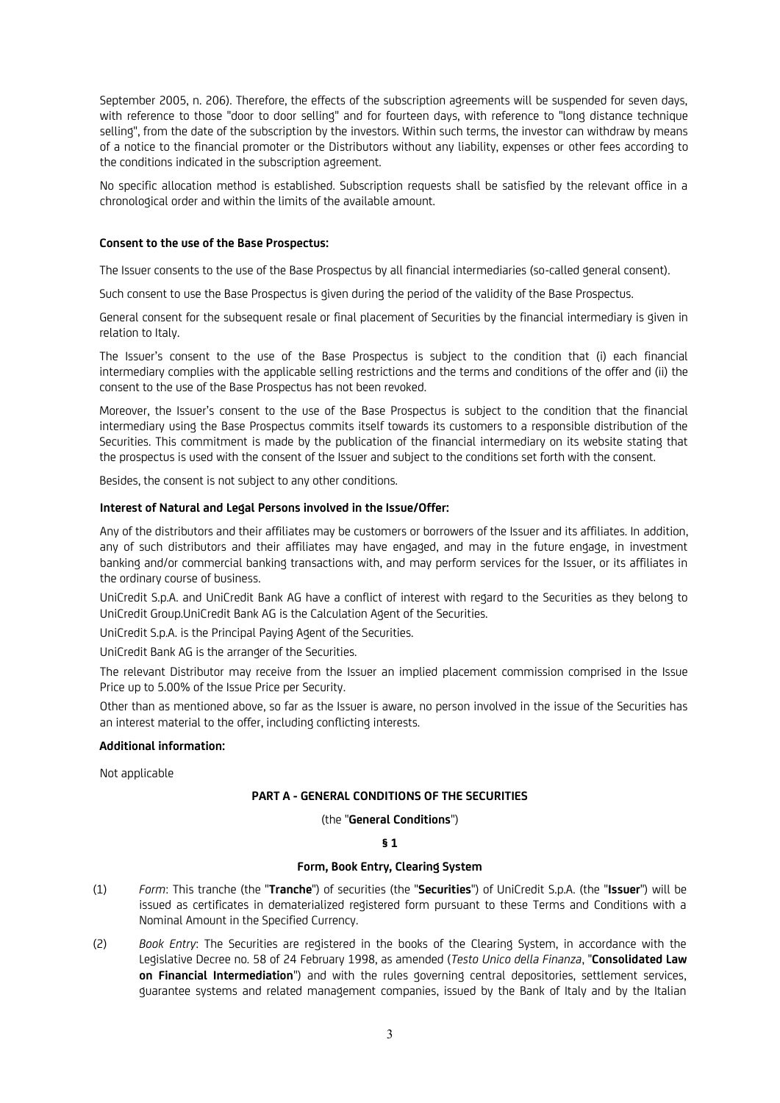September 2005, n. 206). Therefore, the effects of the subscription agreements will be suspended for seven days, with reference to those "door to door selling" and for fourteen days, with reference to "long distance technique selling", from the date of the subscription by the investors. Within such terms, the investor can withdraw by means of a notice to the financial promoter or the Distributors without any liability, expenses or other fees according to the conditions indicated in the subscription agreement.

No specific allocation method is established. Subscription requests shall be satisfied by the relevant office in a chronological order and within the limits of the available amount.

### **Consent to the use of the Base Prospectus:**

The Issuer consents to the use of the Base Prospectus by all financial intermediaries (so-called general consent).

Such consent to use the Base Prospectus is given during the period of the validity of the Base Prospectus.

General consent for the subsequent resale or final placement of Securities by the financial intermediary is given in relation to Italy.

The Issuer's consent to the use of the Base Prospectus is subject to the condition that (i) each financial intermediary complies with the applicable selling restrictions and the terms and conditions of the offer and (ii) the consent to the use of the Base Prospectus has not been revoked.

Moreover, the Issuer's consent to the use of the Base Prospectus is subject to the condition that the financial intermediary using the Base Prospectus commits itself towards its customers to a responsible distribution of the Securities. This commitment is made by the publication of the financial intermediary on its website stating that the prospectus is used with the consent of the Issuer and subject to the conditions set forth with the consent.

Besides, the consent is not subject to any other conditions.

## **Interest of Natural and Legal Persons involved in the Issue/Offer:**

Any of the distributors and their affiliates may be customers or borrowers of the Issuer and its affiliates. In addition, any of such distributors and their affiliates may have engaged, and may in the future engage, in investment banking and/or commercial banking transactions with, and may perform services for the Issuer, or its affiliates in the ordinary course of business.

UniCredit S.p.A. and UniCredit Bank AG have a conflict of interest with regard to the Securities as they belong to UniCredit Group.UniCredit Bank AG is the Calculation Agent of the Securities.

UniCredit S.p.A. is the Principal Paying Agent of the Securities.

UniCredit Bank AG is the arranger of the Securities.

The relevant Distributor may receive from the Issuer an implied placement commission comprised in the Issue Price up to 5.00% of the Issue Price per Security.

Other than as mentioned above, so far as the Issuer is aware, no person involved in the issue of the Securities has an interest material to the offer, including conflicting interests.

### **Additional information:**

Not applicable

## **PART A - GENERAL CONDITIONS OF THE SECURITIES**

### (the "**General Conditions**")

### **§ 1**

## **Form, Book Entry, Clearing System**

- (1) *Form*: This tranche (the "**Tranche**") of securities (the "**Securities**") of UniCredit S.p.A. (the "**Issuer**") will be issued as certificates in dematerialized registered form pursuant to these Terms and Conditions with a Nominal Amount in the Specified Currency.
- (2) *Book Entry*: The Securities are registered in the books of the Clearing System, in accordance with the Legislative Decree no. 58 of 24 February 1998, as amended (*Testo Unico della Finanza*, "**Consolidated Law on Financial Intermediation**") and with the rules governing central depositories, settlement services, guarantee systems and related management companies, issued by the Bank of Italy and by the Italian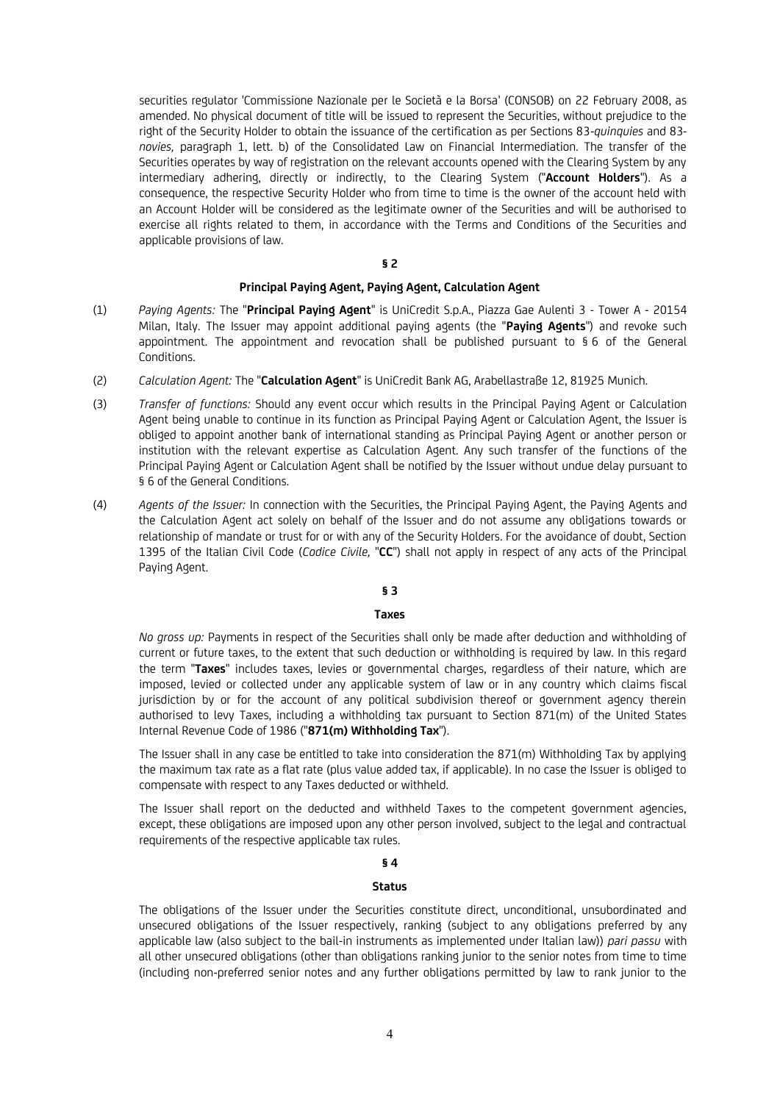securities regulator 'Commissione Nazionale per le Società e la Borsa' (CONSOB) on 22 February 2008, as amended. No physical document of title will be issued to represent the Securities, without prejudice to the right of the Security Holder to obtain the issuance of the certification as per Sections 83-*quinquies* and 83 *novies,* paragraph 1, lett. b) of the Consolidated Law on Financial Intermediation. The transfer of the Securities operates by way of registration on the relevant accounts opened with the Clearing System by any intermediary adhering, directly or indirectly, to the Clearing System ("**Account Holders**"). As a consequence, the respective Security Holder who from time to time is the owner of the account held with an Account Holder will be considered as the legitimate owner of the Securities and will be authorised to exercise all rights related to them, in accordance with the Terms and Conditions of the Securities and applicable provisions of law.

### **§ 2**

### **Principal Paying Agent, Paying Agent, Calculation Agent**

- (1) *Paying Agents:* The "**Principal Paying Agent**" is UniCredit S.p.A., Piazza Gae Aulenti 3 Tower A 20154 Milan, Italy. The Issuer may appoint additional paying agents (the "**Paying Agents**") and revoke such appointment. The appointment and revocation shall be published pursuant to § 6 of the General Conditions.
- (2) *Calculation Agent:* The "**Calculation Agent**" is UniCredit Bank AG, Arabellastraße 12, 81925 Munich.
- (3) *Transfer of functions:* Should any event occur which results in the Principal Paying Agent or Calculation Agent being unable to continue in its function as Principal Paying Agent or Calculation Agent, the Issuer is obliged to appoint another bank of international standing as Principal Paying Agent or another person or institution with the relevant expertise as Calculation Agent. Any such transfer of the functions of the Principal Paying Agent or Calculation Agent shall be notified by the Issuer without undue delay pursuant to § 6 of the General Conditions.
- (4) *Agents of the Issuer:* In connection with the Securities, the Principal Paying Agent, the Paying Agents and the Calculation Agent act solely on behalf of the Issuer and do not assume any obligations towards or relationship of mandate or trust for or with any of the Security Holders. For the avoidance of doubt, Section 1395 of the Italian Civil Code (*Codice Civile,* "**CC**") shall not apply in respect of any acts of the Principal Paying Agent.

## **§ 3**

### **Taxes**

*No gross up:* Payments in respect of the Securities shall only be made after deduction and withholding of current or future taxes, to the extent that such deduction or withholding is required by law. In this regard the term "**Taxes**" includes taxes, levies or governmental charges, regardless of their nature, which are imposed, levied or collected under any applicable system of law or in any country which claims fiscal jurisdiction by or for the account of any political subdivision thereof or government agency therein authorised to levy Taxes, including a withholding tax pursuant to Section 871(m) of the United States Internal Revenue Code of 1986 ("**871(m) Withholding Tax**").

The Issuer shall in any case be entitled to take into consideration the 871(m) Withholding Tax by applying the maximum tax rate as a flat rate (plus value added tax, if applicable). In no case the Issuer is obliged to compensate with respect to any Taxes deducted or withheld.

The Issuer shall report on the deducted and withheld Taxes to the competent government agencies, except, these obligations are imposed upon any other person involved, subject to the legal and contractual requirements of the respective applicable tax rules.

## **§ 4**

## **Status**

The obligations of the Issuer under the Securities constitute direct, unconditional, unsubordinated and unsecured obligations of the Issuer respectively, ranking (subject to any obligations preferred by any applicable law (also subject to the bail-in instruments as implemented under Italian law)) *pari passu* with all other unsecured obligations (other than obligations ranking junior to the senior notes from time to time (including non-preferred senior notes and any further obligations permitted by law to rank junior to the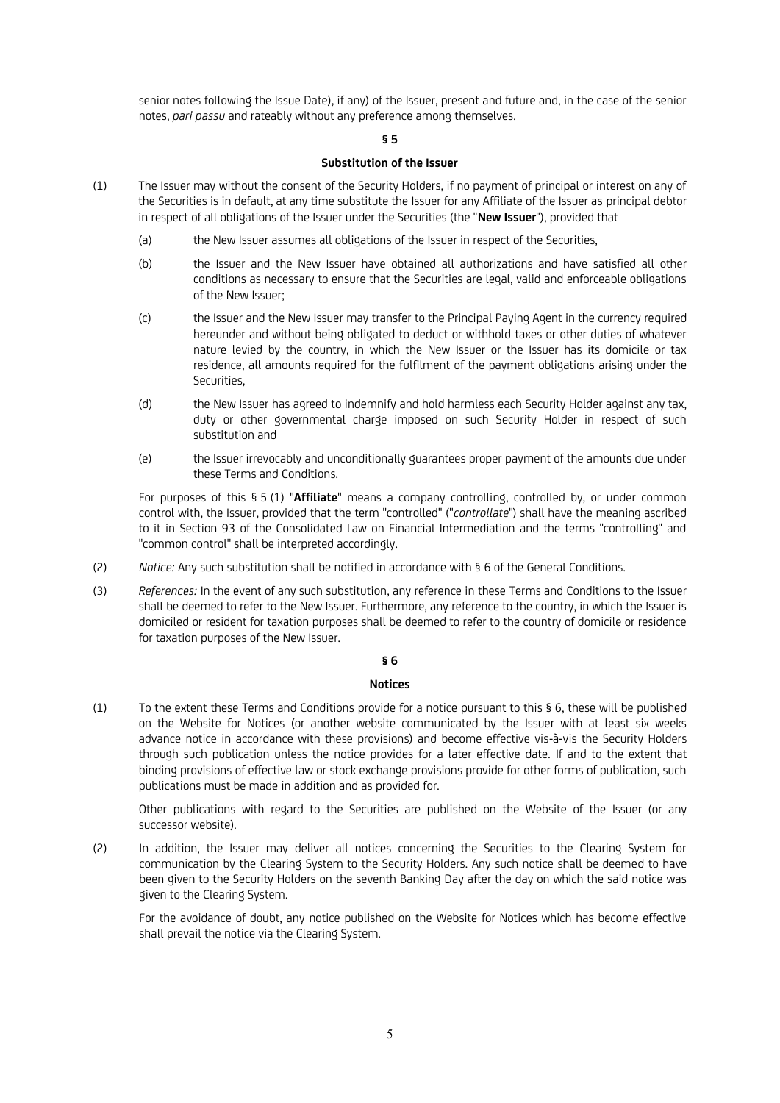senior notes following the Issue Date), if any) of the Issuer, present and future and, in the case of the senior notes, *pari passu* and rateably without any preference among themselves.

## **§ 5**

## **Substitution of the Issuer**

- (1) The Issuer may without the consent of the Security Holders, if no payment of principal or interest on any of the Securities is in default, at any time substitute the Issuer for any Affiliate of the Issuer as principal debtor in respect of all obligations of the Issuer under the Securities (the "**New Issuer**"), provided that
	- (a) the New Issuer assumes all obligations of the Issuer in respect of the Securities,
	- (b) the Issuer and the New Issuer have obtained all authorizations and have satisfied all other conditions as necessary to ensure that the Securities are legal, valid and enforceable obligations of the New Issuer;
	- (c) the Issuer and the New Issuer may transfer to the Principal Paying Agent in the currency required hereunder and without being obligated to deduct or withhold taxes or other duties of whatever nature levied by the country, in which the New Issuer or the Issuer has its domicile or tax residence, all amounts required for the fulfilment of the payment obligations arising under the Securities,
	- (d) the New Issuer has agreed to indemnify and hold harmless each Security Holder against any tax, duty or other governmental charge imposed on such Security Holder in respect of such substitution and
	- (e) the Issuer irrevocably and unconditionally guarantees proper payment of the amounts due under these Terms and Conditions.

For purposes of this § 5 (1) "**Affiliate**" means a company controlling, controlled by, or under common control with, the Issuer, provided that the term "controlled" ("*controllate*") shall have the meaning ascribed to it in Section 93 of the Consolidated Law on Financial Intermediation and the terms "controlling" and "common control" shall be interpreted accordingly.

- (2) *Notice:* Any such substitution shall be notified in accordance with § 6 of the General Conditions.
- (3) *References:* In the event of any such substitution, any reference in these Terms and Conditions to the Issuer shall be deemed to refer to the New Issuer. Furthermore, any reference to the country, in which the Issuer is domiciled or resident for taxation purposes shall be deemed to refer to the country of domicile or residence for taxation purposes of the New Issuer.

### **§ 6**

### **Notices**

(1) To the extent these Terms and Conditions provide for a notice pursuant to this § 6, these will be published on the Website for Notices (or another website communicated by the Issuer with at least six weeks advance notice in accordance with these provisions) and become effective vis-à-vis the Security Holders through such publication unless the notice provides for a later effective date. If and to the extent that binding provisions of effective law or stock exchange provisions provide for other forms of publication, such publications must be made in addition and as provided for.

Other publications with regard to the Securities are published on the Website of the Issuer (or any successor website).

(2) In addition, the Issuer may deliver all notices concerning the Securities to the Clearing System for communication by the Clearing System to the Security Holders. Any such notice shall be deemed to have been given to the Security Holders on the seventh Banking Day after the day on which the said notice was given to the Clearing System.

For the avoidance of doubt, any notice published on the Website for Notices which has become effective shall prevail the notice via the Clearing System.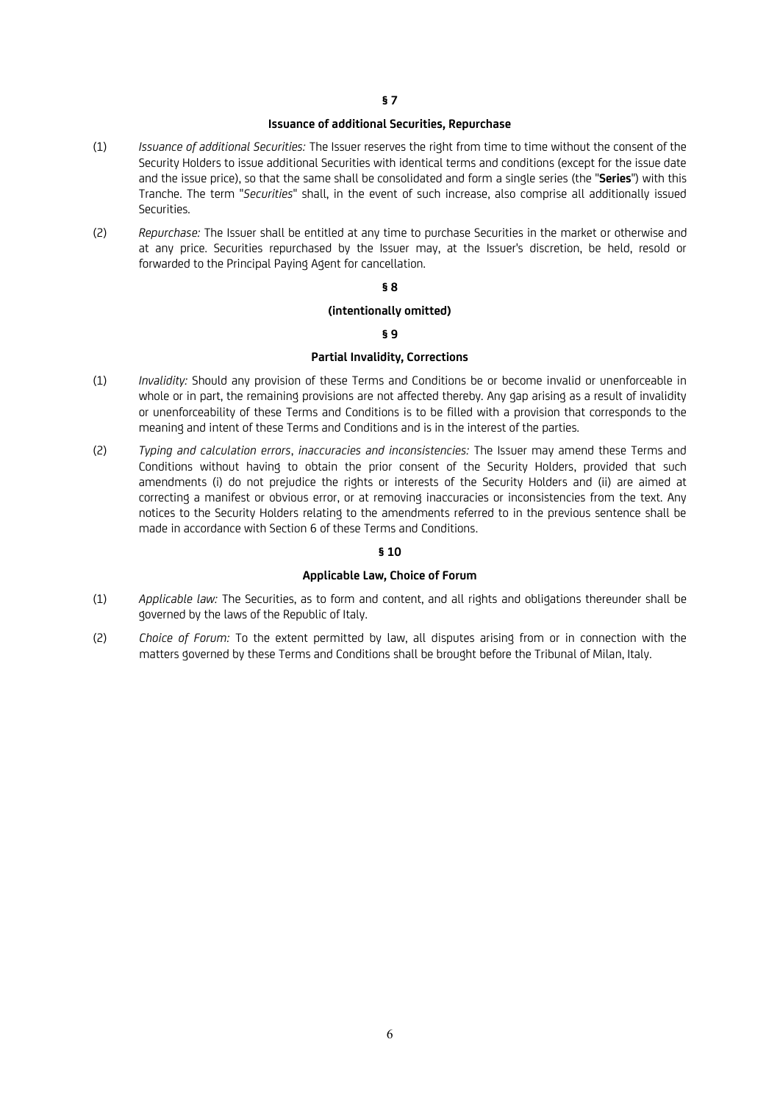### **Issuance of additional Securities, Repurchase**

- (1) *Issuance of additional Securities:* The Issuer reserves the right from time to time without the consent of the Security Holders to issue additional Securities with identical terms and conditions (except for the issue date and the issue price), so that the same shall be consolidated and form a single series (the "**Series**") with this Tranche. The term "*Securities*" shall, in the event of such increase, also comprise all additionally issued Securities.
- (2) *Repurchase:* The Issuer shall be entitled at any time to purchase Securities in the market or otherwise and at any price. Securities repurchased by the Issuer may, at the Issuer's discretion, be held, resold or forwarded to the Principal Paying Agent for cancellation.

## **§ 8**

### **(intentionally omitted)**

## **§ 9**

## **Partial Invalidity, Corrections**

- (1) *Invalidity:* Should any provision of these Terms and Conditions be or become invalid or unenforceable in whole or in part, the remaining provisions are not affected thereby. Any gap arising as a result of invalidity or unenforceability of these Terms and Conditions is to be filled with a provision that corresponds to the meaning and intent of these Terms and Conditions and is in the interest of the parties.
- (2) *Typing and calculation errors*, *inaccuracies and inconsistencies:* The Issuer may amend these Terms and Conditions without having to obtain the prior consent of the Security Holders, provided that such amendments (i) do not prejudice the rights or interests of the Security Holders and (ii) are aimed at correcting a manifest or obvious error, or at removing inaccuracies or inconsistencies from the text. Any notices to the Security Holders relating to the amendments referred to in the previous sentence shall be made in accordance with Section 6 of these Terms and Conditions.

## **§ 10**

## **Applicable Law, Choice of Forum**

- (1) *Applicable law:* The Securities, as to form and content, and all rights and obligations thereunder shall be governed by the laws of the Republic of Italy.
- (2) *Choice of Forum:* To the extent permitted by law, all disputes arising from or in connection with the matters governed by these Terms and Conditions shall be brought before the Tribunal of Milan, Italy.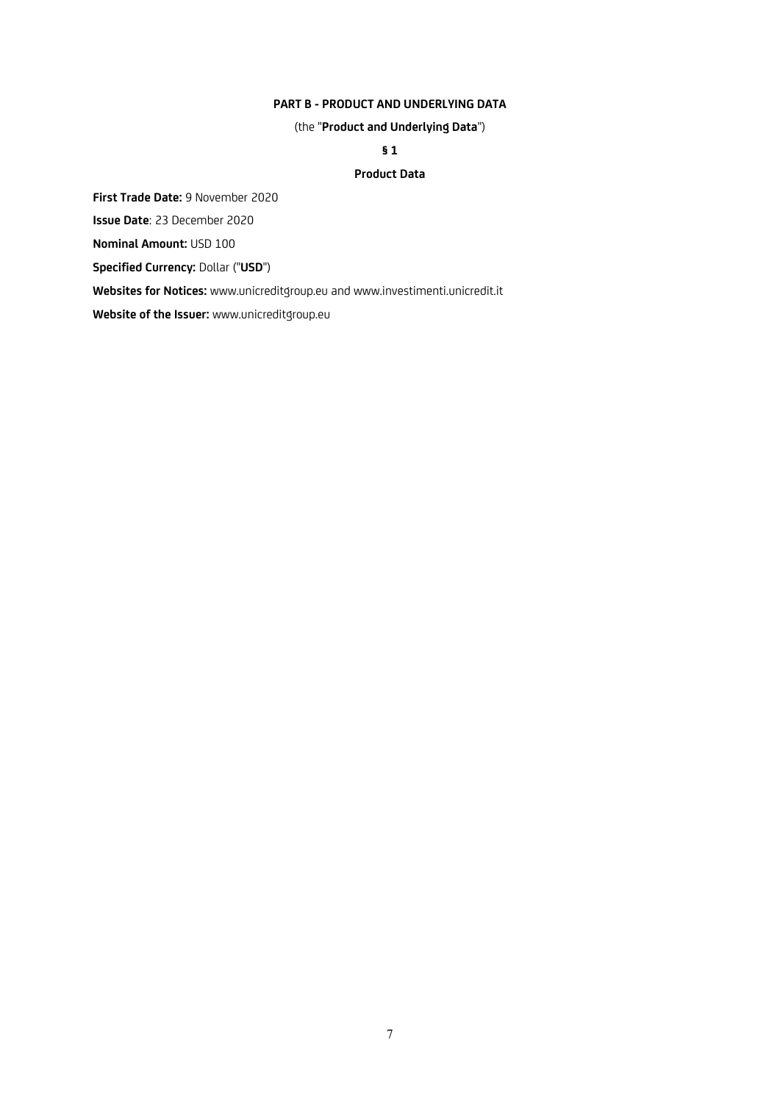## **PART B - PRODUCT AND UNDERLYING DATA**

(the "**Product and Underlying Data**")

**§ 1**

## **Product Data**

**First Trade Date:** 9 November 2020

**Issue Date**: 23 December 2020

**Nominal Amount:** USD 100

**Specified Currency:** Dollar ("**USD**")

**Websites for Notices:** www.unicreditgroup.eu and www.investimenti.unicredit.it

**Website of the Issuer:** www.unicreditgroup.eu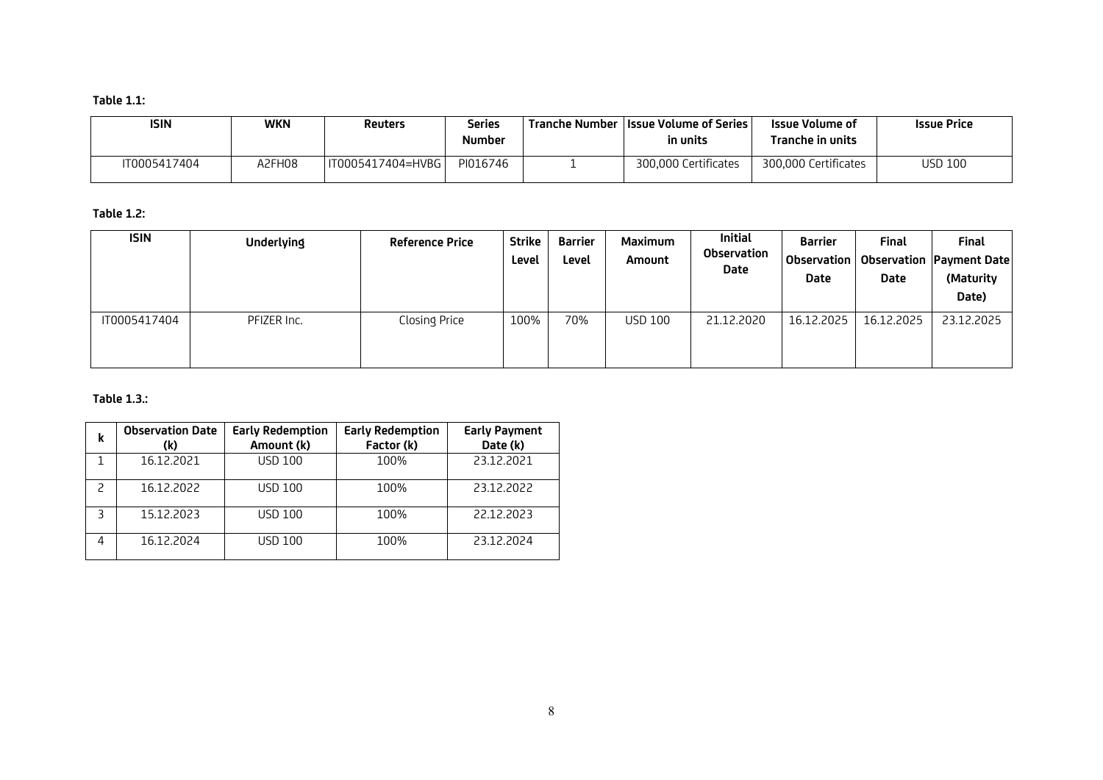# **Table 1.1:**

| <b>ISIN</b>  | WKN    | Reuters           | Series<br>Number | <b>Tranche Number IIssue Volume of Series</b><br>in units | Issue Volume of<br>Tranche in units | <b>Issue Price</b> |
|--------------|--------|-------------------|------------------|-----------------------------------------------------------|-------------------------------------|--------------------|
| IT0005417404 | A2FH08 | IT0005417404=HVBG | PI016746         | 300.000 Certificates                                      | 300.000 Certificates                | USD 100            |

# **Table 1.2:**

| <b>ISIN</b>  | Underlying  | <b>Reference Price</b> | <b>Strike</b><br>Level | Barrier<br>Level | Maximum<br>Amount | <b>Initial</b><br>Observation<br>Date | <b>Barrier</b><br>Observation<br>Date | Final<br>Date | <b>Final</b><br><b>Observation Payment Date</b><br>(Maturity<br>Date) |
|--------------|-------------|------------------------|------------------------|------------------|-------------------|---------------------------------------|---------------------------------------|---------------|-----------------------------------------------------------------------|
| IT0005417404 | PFIZER Inc. | Closing Price          | 100%                   | 70%              | <b>USD 100</b>    | 21.12.2020                            | 16.12.2025                            | 16.12.2025    | 23.12.2025                                                            |

## **Table 1.3.:**

| k | <b>Observation Date</b><br>(k) | <b>Early Redemption</b><br>Amount (k) | <b>Early Redemption</b><br>Factor (k) | <b>Early Payment</b><br>Date (k) |
|---|--------------------------------|---------------------------------------|---------------------------------------|----------------------------------|
|   | 16.12.2021                     | <b>USD 100</b>                        |                                       | 23.12.2021                       |
|   | 16.12.2022                     | <b>USD 100</b>                        |                                       | 23.12.2022                       |
|   | 15.12.2023                     | <b>USD 100</b>                        | 100%                                  | 22.12.2023                       |
| 4 | 16.12.2024                     | <b>USD 100</b>                        | 100%                                  | 23.12.2024                       |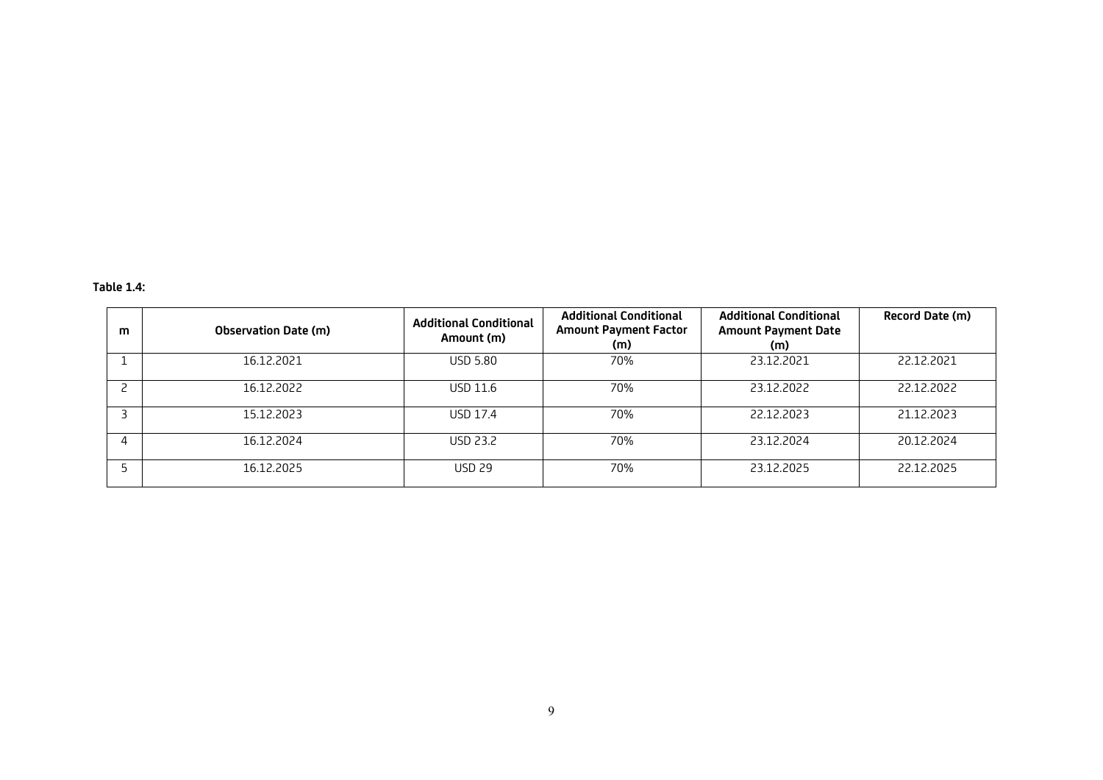# **Table 1.4:**

| m | <b>Observation Date (m)</b> | <b>Additional Conditional</b><br>Amount (m) | <b>Additional Conditional</b><br><b>Amount Payment Factor</b><br>(m) | <b>Additional Conditional</b><br><b>Amount Payment Date</b><br>(m) | Record Date (m) |
|---|-----------------------------|---------------------------------------------|----------------------------------------------------------------------|--------------------------------------------------------------------|-----------------|
|   | 16.12.2021                  | <b>USD 5.80</b>                             | 70%                                                                  | 23.12.2021                                                         | 22.12.2021      |
|   | 16.12.2022                  | USD 11.6                                    | 70%                                                                  | 23.12.2022                                                         | 22.12.2022      |
|   | 15.12.2023                  | <b>USD 17.4</b>                             | 70%                                                                  | 22.12.2023                                                         | 21.12.2023      |
|   | 16.12.2024                  | <b>USD 23.2</b>                             | 70%                                                                  | 23.12.2024                                                         | 20.12.2024      |
|   | 16.12.2025                  | <b>USD 29</b>                               | 70%                                                                  | 23.12.2025                                                         | 22.12.2025      |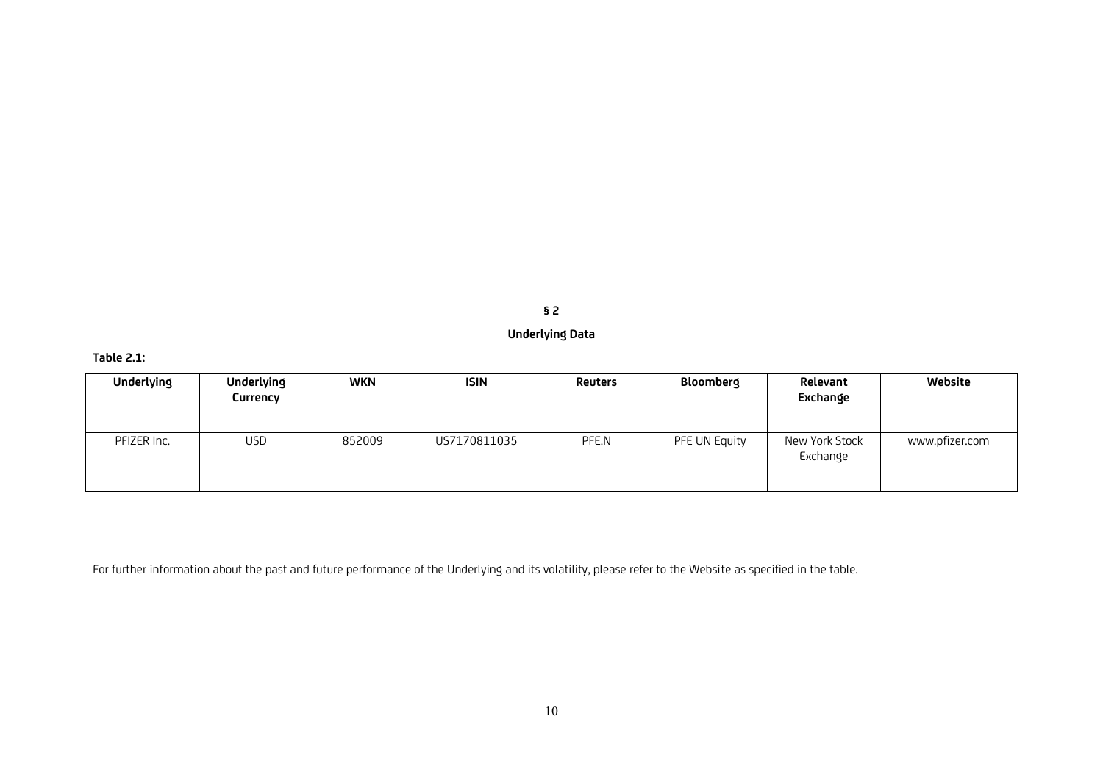**§ 2**

# **Underlying Data**

# **Table 2.1:**

| Underlying  | <b>Underlying</b><br>Currency | <b>WKN</b> | ISIN         | <b>Reuters</b> | Bloomberg     | Relevant<br>Exchange       | Website        |
|-------------|-------------------------------|------------|--------------|----------------|---------------|----------------------------|----------------|
| PFIZER Inc. | USD                           | 852009     | US7170811035 | PFE.N          | PFE UN Equity | New York Stock<br>Exchange | www.pfizer.com |

For further information about the past and future performance of the Underlying and its volatility, please refer to the Website as specified in the table.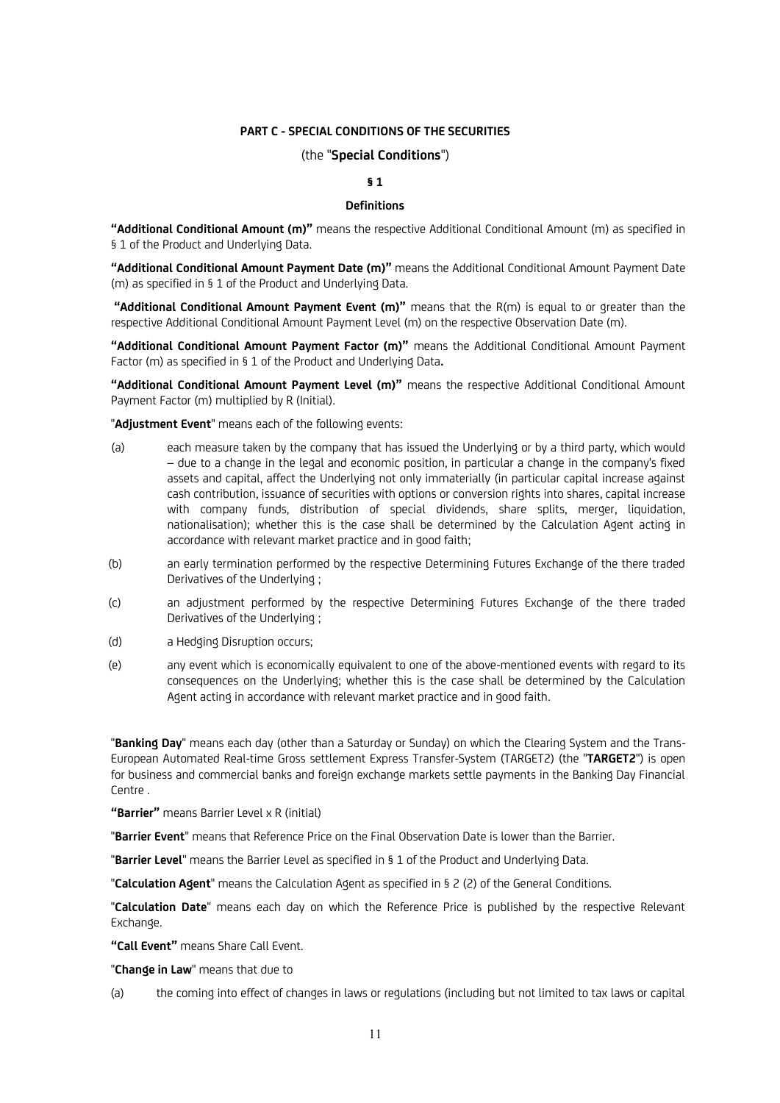## **PART C - SPECIAL CONDITIONS OF THE SECURITIES**

## (the "**Special Conditions**")

## **§ 1**

### **Definitions**

**"Additional Conditional Amount (m)"** means the respective Additional Conditional Amount (m) as specified in § 1 of the Product and Underlying Data.

**"Additional Conditional Amount Payment Date (m)"** means the Additional Conditional Amount Payment Date (m) as specified in § 1 of the Product and Underlying Data.

**"Additional Conditional Amount Payment Event (m)"** means that the R(m) is equal to or greater than the respective Additional Conditional Amount Payment Level (m) on the respective Observation Date (m).

**"Additional Conditional Amount Payment Factor (m)"** means the Additional Conditional Amount Payment Factor (m) as specified in § 1 of the Product and Underlying Data**.**

**"Additional Conditional Amount Payment Level (m)"** means the respective Additional Conditional Amount Payment Factor (m) multiplied by R (Initial).

"**Adjustment Event**" means each of the following events:

- (a) each measure taken by the company that has issued the Underlying or by a third party, which would – due to a change in the legal and economic position, in particular a change in the company's fixed assets and capital, affect the Underlying not only immaterially (in particular capital increase against cash contribution, issuance of securities with options or conversion rights into shares, capital increase with company funds, distribution of special dividends, share splits, merger, liquidation, nationalisation); whether this is the case shall be determined by the Calculation Agent acting in accordance with relevant market practice and in good faith;
- (b) an early termination performed by the respective Determining Futures Exchange of the there traded Derivatives of the Underlying ;
- (c) an adjustment performed by the respective Determining Futures Exchange of the there traded Derivatives of the Underlying ;
- (d) a Hedging Disruption occurs;
- (e) any event which is economically equivalent to one of the above-mentioned events with regard to its consequences on the Underlying; whether this is the case shall be determined by the Calculation Agent acting in accordance with relevant market practice and in good faith.

"**Banking Day**" means each day (other than a Saturday or Sunday) on which the Clearing System and the Trans-European Automated Real-time Gross settlement Express Transfer-System (TARGET2) (the "**TARGET2**") is open for business and commercial banks and foreign exchange markets settle payments in the Banking Day Financial Centre .

**"Barrier"** means Barrier Level x R (initial)

"**Barrier Event**" means that Reference Price on the Final Observation Date is lower than the Barrier.

"**Barrier Level**" means the Barrier Level as specified in § 1 of the Product and Underlying Data.

"**Calculation Agent**" means the Calculation Agent as specified in § 2 (2) of the General Conditions.

"**Calculation Date**" means each day on which the Reference Price is published by the respective Relevant Exchange.

**"Call Event"** means Share Call Event.

"**Change in Law**" means that due to

(a) the coming into effect of changes in laws or regulations (including but not limited to tax laws or capital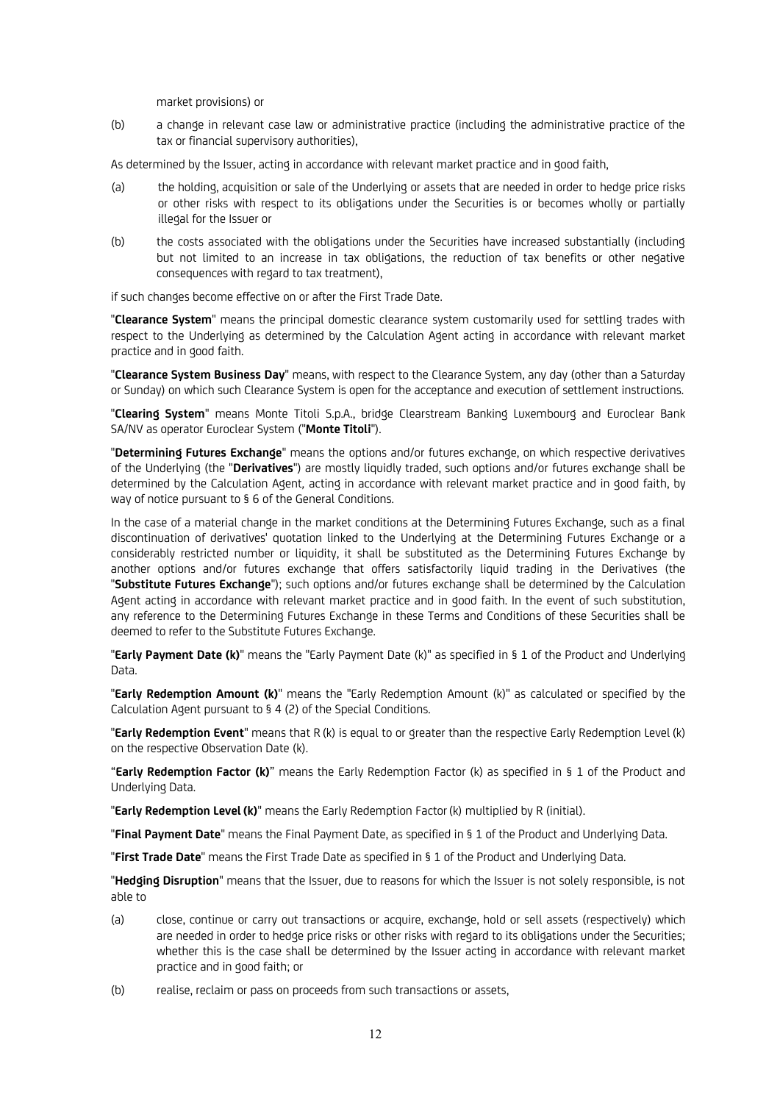market provisions) or

(b) a change in relevant case law or administrative practice (including the administrative practice of the tax or financial supervisory authorities),

As determined by the Issuer, acting in accordance with relevant market practice and in good faith,

- (a) the holding, acquisition or sale of the Underlying or assets that are needed in order to hedge price risks or other risks with respect to its obligations under the Securities is or becomes wholly or partially illegal for the Issuer or
- (b) the costs associated with the obligations under the Securities have increased substantially (including but not limited to an increase in tax obligations, the reduction of tax benefits or other negative consequences with regard to tax treatment),

if such changes become effective on or after the First Trade Date.

"**Clearance System**" means the principal domestic clearance system customarily used for settling trades with respect to the Underlying as determined by the Calculation Agent acting in accordance with relevant market practice and in good faith.

"**Clearance System Business Day**" means, with respect to the Clearance System, any day (other than a Saturday or Sunday) on which such Clearance System is open for the acceptance and execution of settlement instructions.

"**Clearing System**" means Monte Titoli S.p.A., bridge Clearstream Banking Luxembourg and Euroclear Bank SA/NV as operator Euroclear System ("**Monte Titoli**").

"**Determining Futures Exchange**" means the options and/or futures exchange, on which respective derivatives of the Underlying (the "**Derivatives**") are mostly liquidly traded, such options and/or futures exchange shall be determined by the Calculation Agent*,* acting in accordance with relevant market practice and in good faith, by way of notice pursuant to § 6 of the General Conditions.

In the case of a material change in the market conditions at the Determining Futures Exchange, such as a final discontinuation of derivatives' quotation linked to the Underlying at the Determining Futures Exchange or a considerably restricted number or liquidity, it shall be substituted as the Determining Futures Exchange by another options and/or futures exchange that offers satisfactorily liquid trading in the Derivatives (the "**Substitute Futures Exchange**"); such options and/or futures exchange shall be determined by the Calculation Agent acting in accordance with relevant market practice and in good faith. In the event of such substitution, any reference to the Determining Futures Exchange in these Terms and Conditions of these Securities shall be deemed to refer to the Substitute Futures Exchange.

"**Early Payment Date (k)**" means the "Early Payment Date (k)" as specified in § 1 of the Product and Underlying Data.

"**Early Redemption Amount (k)**" means the "Early Redemption Amount (k)" as calculated or specified by the Calculation Agent pursuant to § 4 (2) of the Special Conditions.

"**Early Redemption Event**" means that R (k) is equal to or greater than the respective Early Redemption Level (k) on the respective Observation Date (k).

"**Early Redemption Factor (k)**" means the Early Redemption Factor (k) as specified in § 1 of the Product and Underlying Data.

"**Early Redemption Level(k)**" means the Early Redemption Factor(k) multiplied by R (initial).

"**Final Payment Date**" means the Final Payment Date, as specified in § 1 of the Product and Underlying Data.

"**First Trade Date**" means the First Trade Date as specified in § 1 of the Product and Underlying Data.

"**Hedging Disruption**" means that the Issuer, due to reasons for which the Issuer is not solely responsible, is not able to

- (a) close, continue or carry out transactions or acquire, exchange, hold or sell assets (respectively) which are needed in order to hedge price risks or other risks with regard to its obligations under the Securities; whether this is the case shall be determined by the Issuer acting in accordance with relevant market practice and in good faith; or
- (b) realise, reclaim or pass on proceeds from such transactions or assets,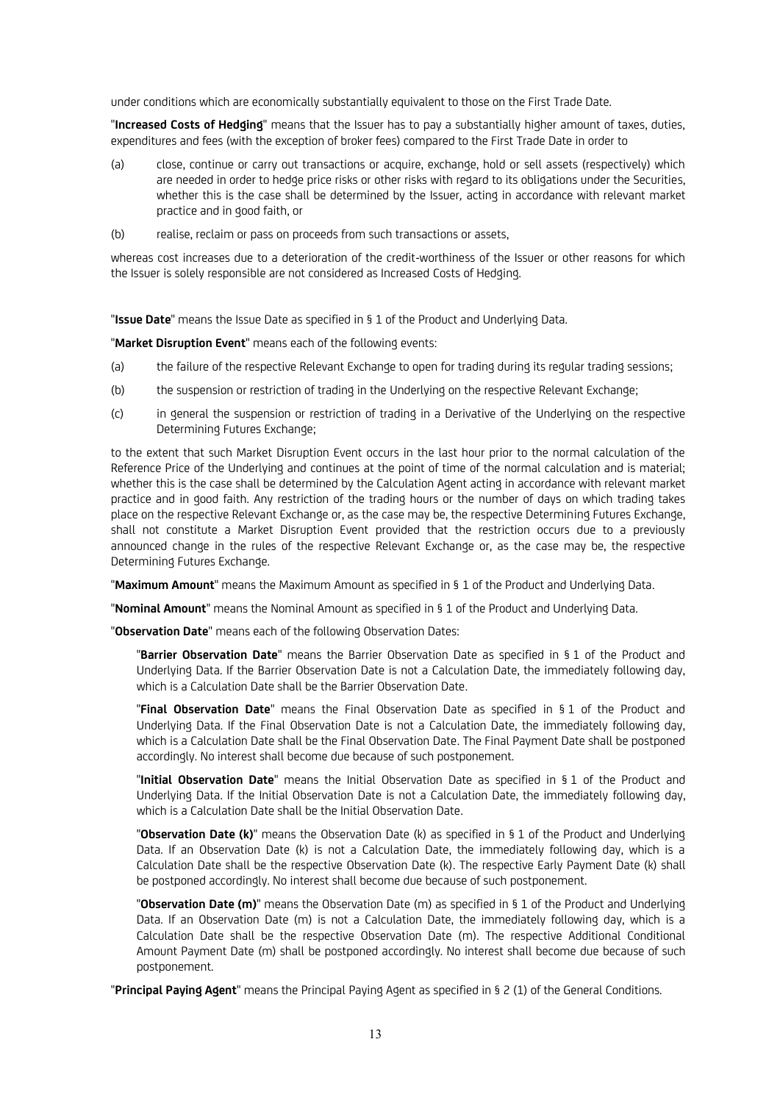under conditions which are economically substantially equivalent to those on the First Trade Date.

"**Increased Costs of Hedging**" means that the Issuer has to pay a substantially higher amount of taxes, duties, expenditures and fees (with the exception of broker fees) compared to the First Trade Date in order to

- (a) close, continue or carry out transactions or acquire, exchange, hold or sell assets (respectively) which are needed in order to hedge price risks or other risks with regard to its obligations under the Securities, whether this is the case shall be determined by the Issuer*,* acting in accordance with relevant market practice and in good faith, or
- (b) realise, reclaim or pass on proceeds from such transactions or assets,

whereas cost increases due to a deterioration of the credit-worthiness of the Issuer or other reasons for which the Issuer is solely responsible are not considered as Increased Costs of Hedging.

"**Issue Date**" means the Issue Date as specified in § 1 of the Product and Underlying Data.

"**Market Disruption Event**" means each of the following events:

- (a) the failure of the respective Relevant Exchange to open for trading during its regular trading sessions;
- (b) the suspension or restriction of trading in the Underlying on the respective Relevant Exchange;
- (c) in general the suspension or restriction of trading in a Derivative of the Underlying on the respective Determining Futures Exchange;

to the extent that such Market Disruption Event occurs in the last hour prior to the normal calculation of the Reference Price of the Underlying and continues at the point of time of the normal calculation and is material; whether this is the case shall be determined by the Calculation Agent acting in accordance with relevant market practice and in good faith. Any restriction of the trading hours or the number of days on which trading takes place on the respective Relevant Exchange or, as the case may be, the respective Determining Futures Exchange, shall not constitute a Market Disruption Event provided that the restriction occurs due to a previously announced change in the rules of the respective Relevant Exchange or, as the case may be, the respective Determining Futures Exchange.

"**Maximum Amount**" means the Maximum Amount as specified in § 1 of the Product and Underlying Data.

"**Nominal Amount**" means the Nominal Amount as specified in § 1 of the Product and Underlying Data.

"**Observation Date**" means each of the following Observation Dates:

"**Barrier Observation Date**" means the Barrier Observation Date as specified in § 1 of the Product and Underlying Data. If the Barrier Observation Date is not a Calculation Date, the immediately following day, which is a Calculation Date shall be the Barrier Observation Date.

"**Final Observation Date**" means the Final Observation Date as specified in § 1 of the Product and Underlying Data. If the Final Observation Date is not a Calculation Date, the immediately following day, which is a Calculation Date shall be the Final Observation Date. The Final Payment Date shall be postponed accordingly. No interest shall become due because of such postponement.

"**Initial Observation Date**" means the Initial Observation Date as specified in § 1 of the Product and Underlying Data. If the Initial Observation Date is not a Calculation Date, the immediately following day, which is a Calculation Date shall be the Initial Observation Date.

"**Observation Date (k)**" means the Observation Date (k) as specified in § 1 of the Product and Underlying Data. If an Observation Date (k) is not a Calculation Date, the immediately following day, which is a Calculation Date shall be the respective Observation Date (k). The respective Early Payment Date (k) shall be postponed accordingly. No interest shall become due because of such postponement.

"**Observation Date (m)**" means the Observation Date (m) as specified in § 1 of the Product and Underlying Data. If an Observation Date (m) is not a Calculation Date, the immediately following day, which is a Calculation Date shall be the respective Observation Date (m). The respective Additional Conditional Amount Payment Date (m) shall be postponed accordingly. No interest shall become due because of such postponement.

"**Principal Paying Agent**" means the Principal Paying Agent as specified in § 2 (1) of the General Conditions.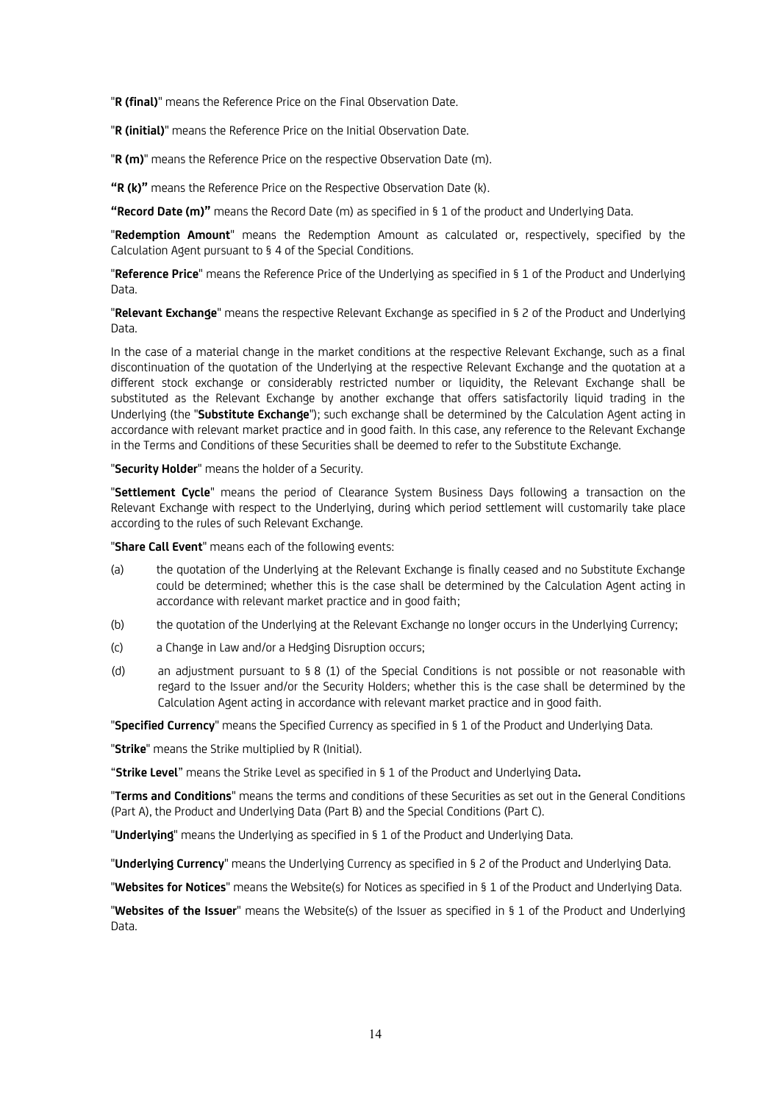"**R (final)**" means the Reference Price on the Final Observation Date.

"**R (initial)**" means the Reference Price on the Initial Observation Date.

"**R (m)**" means the Reference Price on the respective Observation Date (m).

**"R (k)"** means the Reference Price on the Respective Observation Date (k).

**"Record Date (m)"** means the Record Date (m) as specified in § 1 of the product and Underlying Data.

"**Redemption Amount**" means the Redemption Amount as calculated or, respectively, specified by the Calculation Agent pursuant to § 4 of the Special Conditions.

"**Reference Price**" means the Reference Price of the Underlying as specified in § 1 of the Product and Underlying Data.

"**Relevant Exchange**" means the respective Relevant Exchange as specified in § 2 of the Product and Underlying Data.

In the case of a material change in the market conditions at the respective Relevant Exchange, such as a final discontinuation of the quotation of the Underlying at the respective Relevant Exchange and the quotation at a different stock exchange or considerably restricted number or liquidity, the Relevant Exchange shall be substituted as the Relevant Exchange by another exchange that offers satisfactorily liquid trading in the Underlying (the "**Substitute Exchange**"); such exchange shall be determined by the Calculation Agent acting in accordance with relevant market practice and in good faith. In this case, any reference to the Relevant Exchange in the Terms and Conditions of these Securities shall be deemed to refer to the Substitute Exchange.

"**Security Holder**" means the holder of a Security.

"**Settlement Cycle**" means the period of Clearance System Business Days following a transaction on the Relevant Exchange with respect to the Underlying, during which period settlement will customarily take place according to the rules of such Relevant Exchange.

"**Share Call Event**" means each of the following events:

- (a) the quotation of the Underlying at the Relevant Exchange is finally ceased and no Substitute Exchange could be determined; whether this is the case shall be determined by the Calculation Agent acting in accordance with relevant market practice and in good faith;
- (b) the quotation of the Underlying at the Relevant Exchange no longer occurs in the Underlying Currency;
- (c) a Change in Law and/or a Hedging Disruption occurs;
- (d) an adjustment pursuant to § 8 (1) of the Special Conditions is not possible or not reasonable with regard to the Issuer and/or the Security Holders; whether this is the case shall be determined by the Calculation Agent acting in accordance with relevant market practice and in good faith.

"**Specified Currency**" means the Specified Currency as specified in § 1 of the Product and Underlying Data.

"**Strike**" means the Strike multiplied by R (Initial).

"**Strike Level**" means the Strike Level as specified in § 1 of the Product and Underlying Data**.**

"**Terms and Conditions**" means the terms and conditions of these Securities as set out in the General Conditions (Part A), the Product and Underlying Data (Part B) and the Special Conditions (Part C).

"**Underlying**" means the Underlying as specified in § 1 of the Product and Underlying Data.

"**Underlying Currency**" means the Underlying Currency as specified in § 2 of the Product and Underlying Data.

"**Websites for Notices**" means the Website(s) for Notices as specified in § 1 of the Product and Underlying Data.

"**Websites of the Issuer**" means the Website(s) of the Issuer as specified in § 1 of the Product and Underlying Data.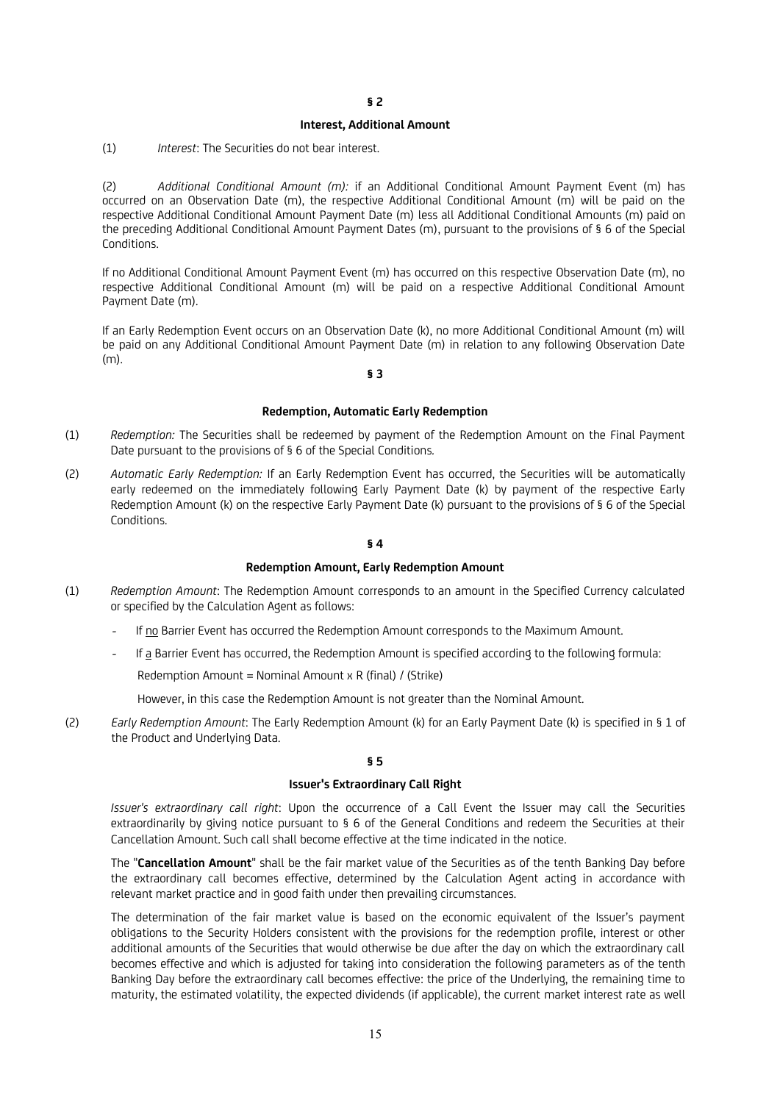### **Interest, Additional Amount**

(1) *Interest*: The Securities do not bear interest.

(2) *Additional Conditional Amount (m):* if an Additional Conditional Amount Payment Event (m) has occurred on an Observation Date (m), the respective Additional Conditional Amount (m) will be paid on the respective Additional Conditional Amount Payment Date (m) less all Additional Conditional Amounts (m) paid on the preceding Additional Conditional Amount Payment Dates (m), pursuant to the provisions of § 6 of the Special Conditions.

If no Additional Conditional Amount Payment Event (m) has occurred on this respective Observation Date (m), no respective Additional Conditional Amount (m) will be paid on a respective Additional Conditional Amount Payment Date (m).

If an Early Redemption Event occurs on an Observation Date (k), no more Additional Conditional Amount (m) will be paid on any Additional Conditional Amount Payment Date (m) in relation to any following Observation Date (m).

## **§ 3**

### **Redemption, Automatic Early Redemption**

- (1) *Redemption:* The Securities shall be redeemed by payment of the Redemption Amount on the Final Payment Date pursuant to the provisions of § 6 of the Special Conditions*.*
- (2) *Automatic Early Redemption:* If an Early Redemption Event has occurred, the Securities will be automatically early redeemed on the immediately following Early Payment Date (k) by payment of the respective Early Redemption Amount (k) on the respective Early Payment Date (k) pursuant to the provisions of § 6 of the Special Conditions.

#### **§ 4**

### **Redemption Amount, Early Redemption Amount**

- (1) *Redemption Amount*: The Redemption Amount corresponds to an amount in the Specified Currency calculated or specified by the Calculation Agent as follows:
	- *-* If no Barrier Event has occurred the Redemption Amount corresponds to the Maximum Amount.
	- *-* If a Barrier Event has occurred, the Redemption Amount is specified according to the following formula:

Redemption Amount = Nominal Amount x R (final) / (Strike)

However, in this case the Redemption Amount is not greater than the Nominal Amount.

(2) *Early Redemption Amount*: The Early Redemption Amount (k) for an Early Payment Date (k) is specified in § 1 of the Product and Underlying Data.

### **§ 5**

### **Issuer's Extraordinary Call Right**

*Issuer's extraordinary call right*: Upon the occurrence of a Call Event the Issuer may call the Securities extraordinarily by giving notice pursuant to § 6 of the General Conditions and redeem the Securities at their Cancellation Amount. Such call shall become effective at the time indicated in the notice.

The "**Cancellation Amount**" shall be the fair market value of the Securities as of the tenth Banking Day before the extraordinary call becomes effective, determined by the Calculation Agent acting in accordance with relevant market practice and in good faith under then prevailing circumstances.

The determination of the fair market value is based on the economic equivalent of the Issuer's payment obligations to the Security Holders consistent with the provisions for the redemption profile, interest or other additional amounts of the Securities that would otherwise be due after the day on which the extraordinary call becomes effective and which is adjusted for taking into consideration the following parameters as of the tenth Banking Day before the extraordinary call becomes effective: the price of the Underlying, the remaining time to maturity, the estimated volatility, the expected dividends (if applicable), the current market interest rate as well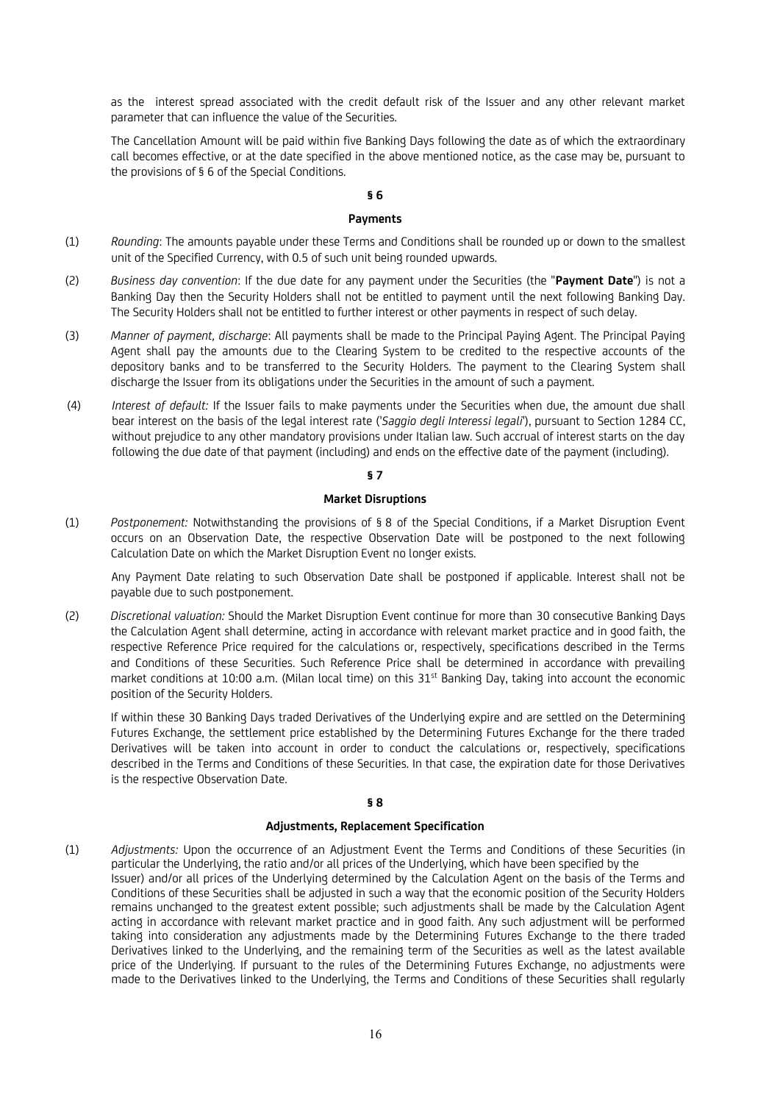as the interest spread associated with the credit default risk of the Issuer and any other relevant market parameter that can influence the value of the Securities.

The Cancellation Amount will be paid within five Banking Days following the date as of which the extraordinary call becomes effective, or at the date specified in the above mentioned notice, as the case may be, pursuant to the provisions of § 6 of the Special Conditions.

## **§ 6**

## **Payments**

- (1) *Rounding*: The amounts payable under these Terms and Conditions shall be rounded up or down to the smallest unit of the Specified Currency, with 0.5 of such unit being rounded upwards.
- (2) *Business day convention*: If the due date for any payment under the Securities (the "**Payment Date**") is not a Banking Day then the Security Holders shall not be entitled to payment until the next following Banking Day. The Security Holders shall not be entitled to further interest or other payments in respect of such delay.
- (3) *Manner of payment, discharge*: All payments shall be made to the Principal Paying Agent. The Principal Paying Agent shall pay the amounts due to the Clearing System to be credited to the respective accounts of the depository banks and to be transferred to the Security Holders. The payment to the Clearing System shall discharge the Issuer from its obligations under the Securities in the amount of such a payment.
- (4) *Interest of default:* If the Issuer fails to make payments under the Securities when due, the amount due shall bear interest on the basis of the legal interest rate ('*Saggio degli Interessi legali*'), pursuant to Section 1284 CC, without prejudice to any other mandatory provisions under Italian law. Such accrual of interest starts on the day following the due date of that payment (including) and ends on the effective date of the payment (including).

## **§ 7**

## **Market Disruptions**

(1) *Postponement:* Notwithstanding the provisions of § 8 of the Special Conditions, if a Market Disruption Event occurs on an Observation Date, the respective Observation Date will be postponed to the next following Calculation Date on which the Market Disruption Event no longer exists.

Any Payment Date relating to such Observation Date shall be postponed if applicable. Interest shall not be payable due to such postponement.

(2) *Discretional valuation:* Should the Market Disruption Event continue for more than 30 consecutive Banking Days the Calculation Agent shall determine*,* acting in accordance with relevant market practice and in good faith, the respective Reference Price required for the calculations or, respectively, specifications described in the Terms and Conditions of these Securities. Such Reference Price shall be determined in accordance with prevailing market conditions at 10:00 a.m. (Milan local time) on this 31<sup>st</sup> Banking Day, taking into account the economic position of the Security Holders.

If within these 30 Banking Days traded Derivatives of the Underlying expire and are settled on the Determining Futures Exchange, the settlement price established by the Determining Futures Exchange for the there traded Derivatives will be taken into account in order to conduct the calculations or, respectively, specifications described in the Terms and Conditions of these Securities. In that case, the expiration date for those Derivatives is the respective Observation Date.

### **§ 8**

## **Adjustments, Replacement Specification**

(1) *Adjustments:* Upon the occurrence of an Adjustment Event the Terms and Conditions of these Securities (in particular the Underlying, the ratio and/or all prices of the Underlying, which have been specified by the Issuer) and/or all prices of the Underlying determined by the Calculation Agent on the basis of the Terms and Conditions of these Securities shall be adjusted in such a way that the economic position of the Security Holders remains unchanged to the greatest extent possible; such adjustments shall be made by the Calculation Agent acting in accordance with relevant market practice and in good faith. Any such adjustment will be performed taking into consideration any adjustments made by the Determining Futures Exchange to the there traded Derivatives linked to the Underlying, and the remaining term of the Securities as well as the latest available price of the Underlying. If pursuant to the rules of the Determining Futures Exchange, no adjustments were made to the Derivatives linked to the Underlying, the Terms and Conditions of these Securities shall regularly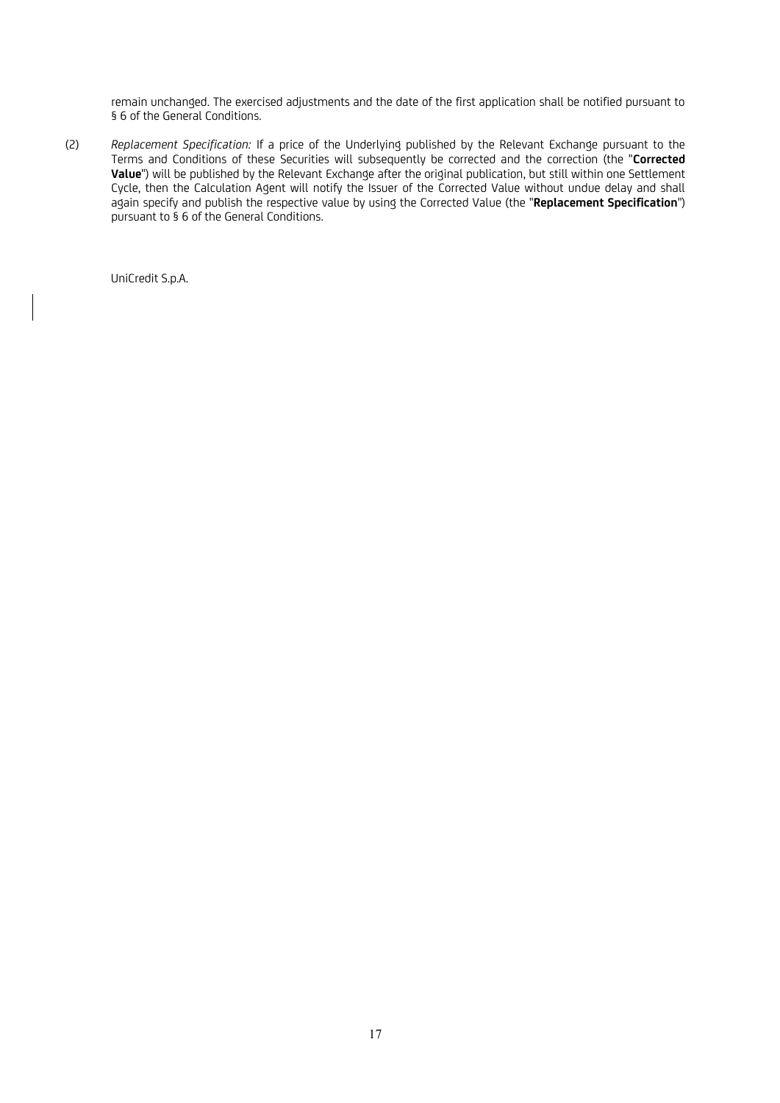remain unchanged. The exercised adjustments and the date of the first application shall be notified pursuant to § 6 of the General Conditions.

(2) *Replacement Specification:* If a price of the Underlying published by the Relevant Exchange pursuant to the Terms and Conditions of these Securities will subsequently be corrected and the correction (the "**Corrected Value**") will be published by the Relevant Exchange after the original publication, but still within one Settlement Cycle, then the Calculation Agent will notify the Issuer of the Corrected Value without undue delay and shall again specify and publish the respective value by using the Corrected Value (the "**Replacement Specification**") pursuant to § 6 of the General Conditions.

UniCredit S.p.A.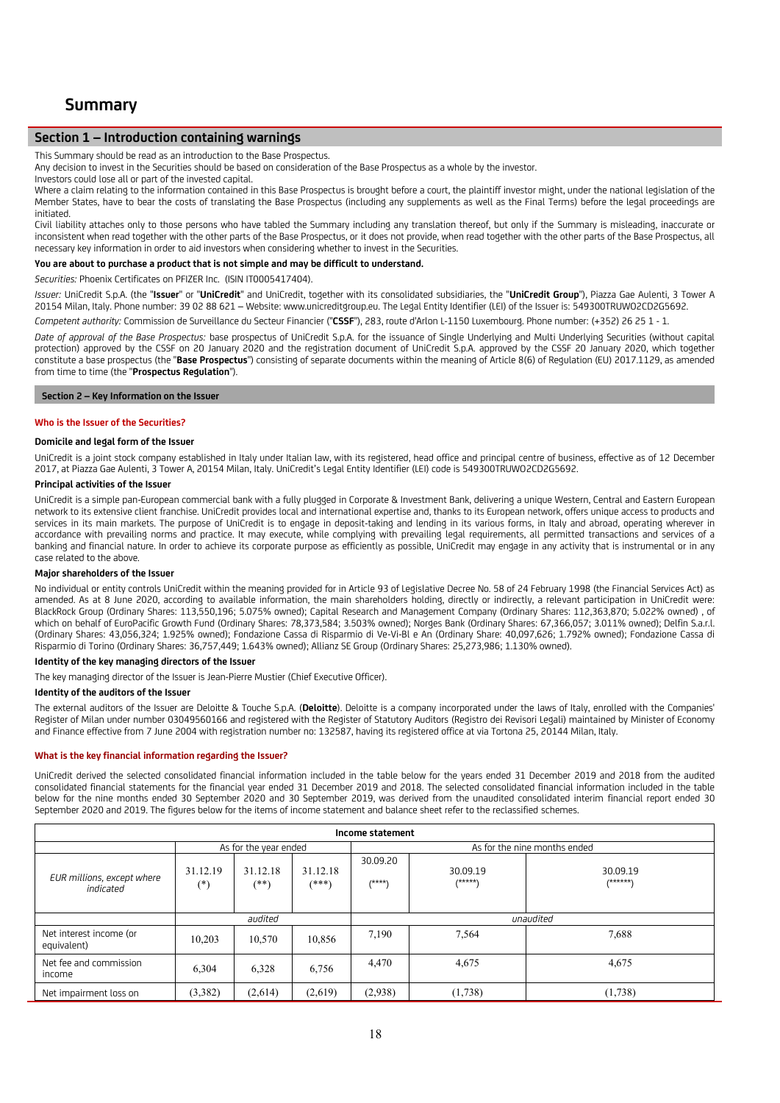# **Summary**

## **Section 1 – Introduction containing warnings**

This Summary should be read as an introduction to the Base Prospectus.

Any decision to invest in the Securities should be based on consideration of the Base Prospectus as a whole by the investor.

Investors could lose all or part of the invested capital.

Where a claim relating to the information contained in this Base Prospectus is brought before a court, the plaintiff investor might, under the national legislation of the Member States, have to bear the costs of translating the Base Prospectus (including any supplements as well as the Final Terms) before the legal proceedings are initiated.

Civil liability attaches only to those persons who have tabled the Summary including any translation thereof, but only if the Summary is misleading, inaccurate or inconsistent when read together with the other parts of the Base Prospectus, or it does not provide, when read together with the other parts of the Base Prospectus, all necessary key information in order to aid investors when considering whether to invest in the Securities.

#### **You are about to purchase a product that is not simple and may be difficult to understand.**

*Securities:* Phoenix Certificates on PFIZER Inc. (ISIN IT0005417404).

*Issuer:* UniCredit S.p.A. (the "**Issuer**" or "**UniCredit**" and UniCredit, together with its consolidated subsidiaries, the "**UniCredit Group**"), Piazza Gae Aulenti, 3 Tower A 20154 Milan, Italy. Phone number: 39 02 88 621 – Website: www.unicreditgroup.eu. The Legal Entity Identifier (LEI) of the Issuer is: 549300TRUWO2CD2G5692.

*Competent authority:* Commission de Surveillance du Secteur Financier ("**CSSF**"), 283, route d'Arlon L-1150 Luxembourg. Phone number: (+352) 26 25 1 - 1.

*Date of approval of the Base Prospectus:* base prospectus of UniCredit S.p.A. for the issuance of Single Underlying and Multi Underlying Securities (without capital protection) approved by the CSSF on 20 January 2020 and the registration document of UniCredit S.p.A. approved by the CSSF 20 January 2020, which together constitute a base prospectus (the "**Base Prospectus**") consisting of separate documents within the meaning of Article 8(6) of Regulation (EU) 2017.1129, as amended from time to time (the "**Prospectus Regulation**").

#### **Section 2 – Key Information on the Issuer**

### **Who is the Issuer of the Securities?**

### **Domicile and legal form of the Issuer**

UniCredit is a joint stock company established in Italy under Italian law, with its registered, head office and principal centre of business, effective as of 12 December 2017, at Piazza Gae Aulenti, 3 Tower A, 20154 Milan, Italy. UniCredit's Legal Entity Identifier (LEI) code is 549300TRUWO2CD2G5692.

#### **Principal activities of the Issuer**

UniCredit is a simple pan-European commercial bank with a fully plugged in Corporate & Investment Bank, delivering a unique Western, Central and Eastern European network to its extensive client franchise. UniCredit provides local and international expertise and, thanks to its European network, offers unique access to products and services in its main markets. The purpose of UniCredit is to engage in deposit-taking and lending in its various forms, in Italy and abroad, operating wherever in accordance with prevailing norms and practice. It may execute, while complying with prevailing legal requirements, all permitted transactions and services of a banking and financial nature. In order to achieve its corporate purpose as efficiently as possible, UniCredit may engage in any activity that is instrumental or in any case related to the above.

#### **Major shareholders of the Issuer**

No individual or entity controls UniCredit within the meaning provided for in Article 93 of Legislative Decree No. 58 of 24 February 1998 (the Financial Services Act) as amended. As at 8 June 2020, according to available information, the main shareholders holding, directly or indirectly, a relevant participation in UniCredit were: BlackRock Group (Ordinary Shares: 113,550,196; 5.075% owned); Capital Research and Management Company (Ordinary Shares: 112,363,870; 5.022% owned) , of which on behalf of EuroPacific Growth Fund (Ordinary Shares: 78,373,584; 3.503% owned); Norges Bank (Ordinary Shares: 67,366,057; 3.011% owned); Delfin S.a.r.l. (Ordinary Shares: 43,056,324; 1.925% owned); Fondazione Cassa di Risparmio di Ve-Vi-Bl e An (Ordinary Share: 40,097,626; 1.792% owned); Fondazione Cassa di Risparmio di Torino (Ordinary Shares: 36,757,449; 1.643% owned); Allianz SE Group (Ordinary Shares: 25,273,986; 1.130% owned).

#### **Identity of the key managing directors of the Issuer**

The key managing director of the Issuer is Jean-Pierre Mustier (Chief Executive Officer).

#### **Identity of the auditors of the Issuer**

The external auditors of the Issuer are Deloitte & Touche S.p.A. (**Deloitte**). Deloitte is a company incorporated under the laws of Italy, enrolled with the Companies' Register of Milan under number 03049560166 and registered with the Register of Statutory Auditors (Registro dei Revisori Legali) maintained by Minister of Economy and Finance effective from 7 June 2004 with registration number no: 132587, having its registered office at via Tortona 25, 20144 Milan, Italy.

#### **What is the key financial information regarding the Issuer?**

UniCredit derived the selected consolidated financial information included in the table below for the years ended 31 December 2019 and 2018 from the audited consolidated financial statements for the financial year ended 31 December 2019 and 2018. The selected consolidated financial information included in the table below for the nine months ended 30 September 2020 and 30 September 2019, was derived from the unaudited consolidated interim financial report ended 30 September 2020 and 2019. The figures below for the items of income statement and balance sheet refer to the reclassified schemes.

| Income statement                          |                      |                       |                     |                      |                       |                              |  |  |
|-------------------------------------------|----------------------|-----------------------|---------------------|----------------------|-----------------------|------------------------------|--|--|
|                                           |                      | As for the year ended |                     |                      |                       | As for the nine months ended |  |  |
| EUR millions, except where<br>indicated   | 31.12.19<br>$(\ast)$ | 31.12.18<br>(**)      | 31.12.18<br>$(***)$ | 30.09.20<br>$(****)$ | 30.09.19<br>$(*****)$ | 30.09.19<br>/******\         |  |  |
|                                           |                      | audited               |                     | unaudited            |                       |                              |  |  |
| Net interest income (or<br>equivalent)    | 10,203               | 10,570                | 10,856              | 7,190                | 7,564                 | 7,688                        |  |  |
| Net fee and commission<br>6,304<br>income |                      | 6,328                 | 6,756               | 4,470                | 4,675                 | 4,675                        |  |  |
| Net impairment loss on                    | (3,382)              | (2,614)               | (2,619)             | (2,938)              | (1,738)               | (1,738)                      |  |  |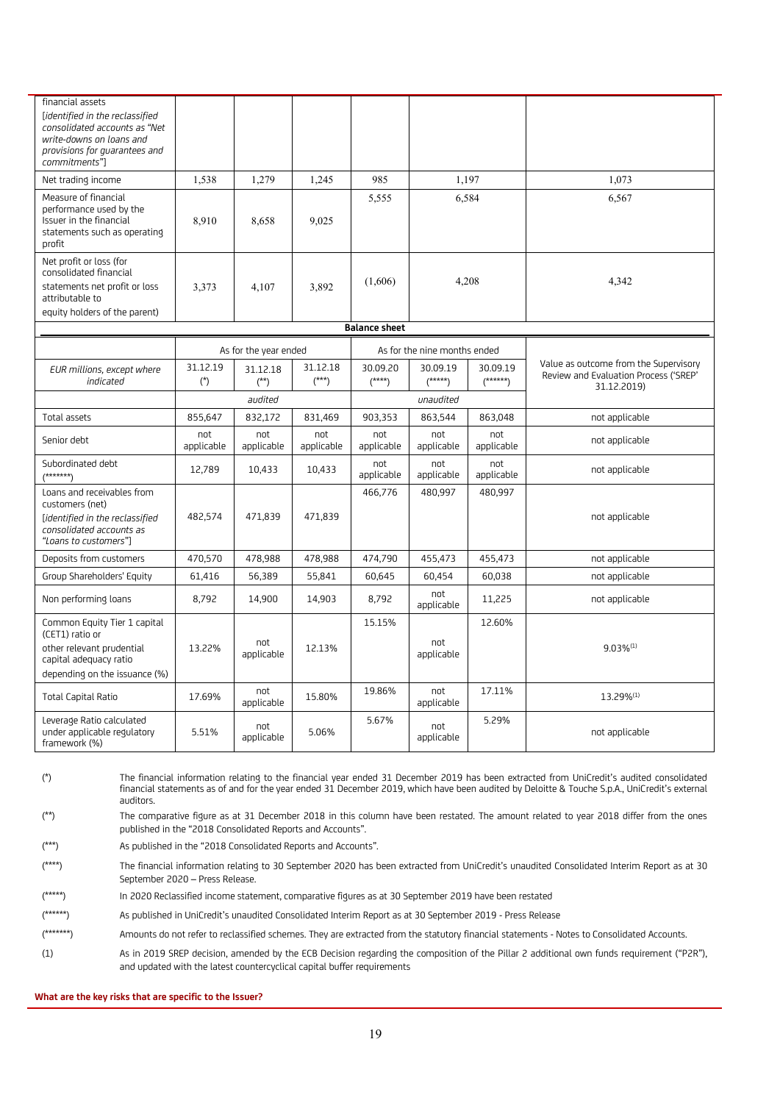| financial assets<br>[identified in the reclassified<br>consolidated accounts as "Net<br>write-downs on loans and<br>provisions for quarantees and<br>commitments"]<br>Net trading income | 1,538             | 1,279                 | 1,245               | 985                  |                              | 1,197                 | 1,073                                                                                         |  |  |  |       |
|------------------------------------------------------------------------------------------------------------------------------------------------------------------------------------------|-------------------|-----------------------|---------------------|----------------------|------------------------------|-----------------------|-----------------------------------------------------------------------------------------------|--|--|--|-------|
| Measure of financial<br>performance used by the<br>Issuer in the financial<br>statements such as operating<br>profit                                                                     | 8,910             | 8,658                 | 9,025               | 5.555                |                              | 6,584                 | 6.567                                                                                         |  |  |  |       |
| Net profit or loss (for<br>consolidated financial<br>statements net profit or loss<br>attributable to<br>equity holders of the parent)                                                   | 3,373             | 4.107                 | 3,892               | (1,606)              | 4,208                        |                       |                                                                                               |  |  |  | 4,342 |
|                                                                                                                                                                                          |                   |                       |                     | <b>Balance sheet</b> |                              |                       |                                                                                               |  |  |  |       |
|                                                                                                                                                                                          |                   | As for the year ended |                     |                      | As for the nine months ended |                       |                                                                                               |  |  |  |       |
| EUR millions, except where<br>indicated                                                                                                                                                  | 31.12.19<br>$(*)$ | 31.12.18<br>$(**)$    | 31.12.18<br>$(***)$ | 30.09.20<br>$(****)$ | 30.09.19<br>$(****)$         | 30.09.19<br>$(*****)$ | Value as outcome from the Supervisory<br>Review and Evaluation Process ('SREP'<br>31.12.2019) |  |  |  |       |
|                                                                                                                                                                                          |                   | audited               |                     |                      | unaudited                    |                       |                                                                                               |  |  |  |       |
| Total assets                                                                                                                                                                             | 855,647           | 832,172               | 831,469             | 903,353              | 863,544                      | 863,048               | not applicable                                                                                |  |  |  |       |
| Senior debt                                                                                                                                                                              | not<br>applicable | not<br>applicable     | not<br>applicable   | not<br>applicable    | not<br>applicable            | not<br>applicable     | not applicable                                                                                |  |  |  |       |
| Subordinated debt<br>$(******')$                                                                                                                                                         | 12,789            | 10,433                | 10,433              | not<br>applicable    | not<br>applicable            | not<br>applicable     | not applicable                                                                                |  |  |  |       |
| Loans and receivables from<br>customers (net)<br>[identified in the reclassified<br>consolidated accounts as<br>"Loans to customers"]                                                    | 482,574           | 471,839               | 471,839             | 466,776              | 480,997                      | 480,997               | not applicable                                                                                |  |  |  |       |
| Deposits from customers                                                                                                                                                                  | 470,570           | 478,988               | 478,988             | 474,790              | 455,473                      | 455,473               | not applicable                                                                                |  |  |  |       |
| Group Shareholders' Equity                                                                                                                                                               | 61,416            | 56,389                | 55,841              | 60,645               | 60,454                       | 60,038                | not applicable                                                                                |  |  |  |       |
| Non performing loans                                                                                                                                                                     | 8,792             | 14,900                | 14,903              | 8,792                | not<br>applicable            | 11,225                | not applicable                                                                                |  |  |  |       |
| Common Equity Tier 1 capital<br>(CET1) ratio or                                                                                                                                          |                   | not                   |                     | 15.15%               | not                          | 12.60%                |                                                                                               |  |  |  |       |
| other relevant prudential<br>capital adequacy ratio<br>depending on the issuance (%)                                                                                                     | 13.22%            | applicable            | 12.13%              |                      | applicable                   |                       | $9.03\%^{(1)}$                                                                                |  |  |  |       |
| <b>Total Capital Ratio</b>                                                                                                                                                               | 17.69%            | not<br>applicable     | 15.80%              | 19.86%               | not<br>applicable            | 17.11%                | 13.29%(1)                                                                                     |  |  |  |       |
| Leverage Ratio calculated<br>under applicable regulatory<br>framework (%)                                                                                                                | 5.51%             | not<br>applicable     | 5.06%               | 5.67%                | not<br>applicable            | 5.29%                 | not applicable                                                                                |  |  |  |       |

(\*) The financial information relating to the financial year ended 31 December 2019 has been extracted from UniCredit's audited consolidated financial statements as of and for the year ended 31 December 2019, which have been audited by Deloitte & Touche S.p.A., UniCredit's external auditors.

(\*\*) The comparative figure as at 31 December 2018 in this column have been restated. The amount related to year 2018 differ from the ones published in the "2018 Consolidated Reports and Accounts".

(\*\*\*) As published in the "2018 Consolidated Reports and Accounts".

(\*\*\*\*) The financial information relating to 30 September 2020 has been extracted from UniCredit's unaudited Consolidated Interim Report as at 30 September 2020 – Press Release.

(\*\*\*\*\*) In 2020 Reclassified income statement, comparative figures as at 30 September 2019 have been restated

(\*\*\*\*\*\*) As published in UniCredit's unaudited Consolidated Interim Report as at 30 September 2019 - Press Release

(\*\*\*\*\*\*\*) Amounts do not refer to reclassified schemes. They are extracted from the statutory financial statements - Notes to Consolidated Accounts.

(1) As in 2019 SREP decision, amended by the ECB Decision regarding the composition of the Pillar 2 additional own funds requirement ("P2R"), and updated with the latest countercyclical capital buffer requirements

**What are the key risks that are specific to the Issuer?**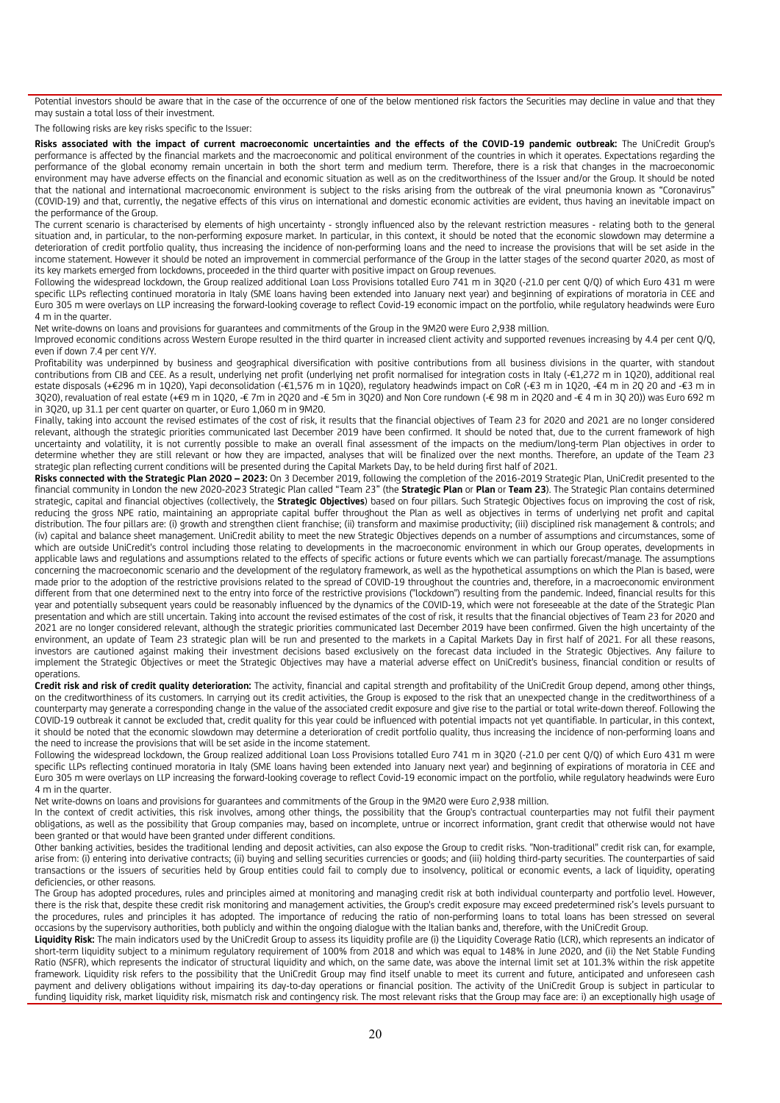Potential investors should be aware that in the case of the occurrence of one of the below mentioned risk factors the Securities may decline in value and that they may sustain a total loss of their investment.

The following risks are key risks specific to the Issuer:

**Risks associated with the impact of current macroeconomic uncertainties and the effects of the COVID-19 pandemic outbreak:** The UniCredit Group's performance is affected by the financial markets and the macroeconomic and political environment of the countries in which it operates. Expectations regarding the performance of the global economy remain uncertain in both the short term and medium term. Therefore, there is a risk that changes in the macroeconomic environment may have adverse effects on the financial and economic situation as well as on the creditworthiness of the Issuer and/or the Group. It should be noted that the national and international macroeconomic environment is subject to the risks arising from the outbreak of the viral pneumonia known as "Coronavirus" (COVID-19) and that, currently, the negative effects of this virus on international and domestic economic activities are evident, thus having an inevitable impact on the performance of the Group.

The current scenario is characterised by elements of high uncertainty - strongly influenced also by the relevant restriction measures - relating both to the general situation and, in particular, to the non-performing exposure market. In particular, in this context, it should be noted that the economic slowdown may determine a deterioration of credit portfolio quality, thus increasing the incidence of non-performing loans and the need to increase the provisions that will be set aside in the income statement. However it should be noted an improvement in commercial performance of the Group in the latter stages of the second quarter 2020, as most of its key markets emerged from lockdowns, proceeded in the third quarter with positive impact on Group revenues.

Following the widespread lockdown, the Group realized additional Loan Loss Provisions totalled Euro 741 m in 3Q20 (-21.0 per cent Q/Q) of which Euro 431 m were specific LLPs reflecting continued moratoria in Italy (SME loans having been extended into January next year) and beginning of expirations of moratoria in CEE and Euro 305 m were overlays on LLP increasing the forward-looking coverage to reflect Covid-19 economic impact on the portfolio, while regulatory headwinds were Euro 4 m in the quarter.

Net write-downs on loans and provisions for guarantees and commitments of the Group in the 9M20 were Euro 2,938 million.

Improved economic conditions across Western Europe resulted in the third quarter in increased client activity and supported revenues increasing by 4.4 per cent Q/Q, even if down 7.4 per cent Y/Y.

Profitability was underpinned by business and geographical diversification with positive contributions from all business divisions in the quarter, with standout contributions from CIB and CEE. As a result, underlying net profit (underlying net profit normalised for integration costs in Italy (-€1,272 m in 1Q20), additional real estate disposals (+€296 m in 1Q20), Yapi deconsolidation (-€1,576 m in 1Q20), regulatory headwinds impact on CoR (-€3 m in 1Q20, -€4 m in 2Q 20 and -€3 m in 3Q20), revaluation of real estate (+€9 m in 1Q20, -€ 7m in 2Q20 and -€ 5m in 3Q20) and Non Core rundown (-€ 98 m in 2Q20 and -€ 4 m in 3Q 20)) was Euro 692 m in 3Q20, up 31.1 per cent quarter on quarter, or Euro 1,060 m in 9M20.

Finally, taking into account the revised estimates of the cost of risk, it results that the financial objectives of Team 23 for 2020 and 2021 are no longer considered relevant, although the strategic priorities communicated last December 2019 have been confirmed. It should be noted that, due to the current framework of high uncertainty and volatility, it is not currently possible to make an overall final assessment of the impacts on the medium/long-term Plan objectives in order to determine whether they are still relevant or how they are impacted, analyses that will be finalized over the next months. Therefore, an update of the Team 23 strategic plan reflecting current conditions will be presented during the Capital Markets Day, to be held during first half of 2021.

**Risks connected with the Strategic Plan 2020 – 2023:** On 3 December 2019, following the completion of the 2016-2019 Strategic Plan, UniCredit presented to the financial community in London the new 2020-2023 Strategic Plan called "Team 23" (the **Strategic Plan** or **Plan** or **Team 23**). The Strategic Plan contains determined strategic, capital and financial objectives (collectively, the **Strategic Objectives**) based on four pillars. Such Strategic Objectives focus on improving the cost of risk, reducing the gross NPE ratio, maintaining an appropriate capital buffer throughout the Plan as well as objectives in terms of underlying net profit and capital distribution. The four pillars are: (i) growth and strengthen client franchise; (ii) transform and maximise productivity; (iii) disciplined risk management & controls; and (iv) capital and balance sheet management. UniCredit ability to meet the new Strategic Objectives depends on a number of assumptions and circumstances, some of which are outside UniCredit's control including those relating to developments in the macroeconomic environment in which our Group operates, developments in applicable laws and regulations and assumptions related to the effects of specific actions or future events which we can partially forecast/manage. The assumptions concerning the macroeconomic scenario and the development of the regulatory framework, as well as the hypothetical assumptions on which the Plan is based, were made prior to the adoption of the restrictive provisions related to the spread of COVID-19 throughout the countries and, therefore, in a macroeconomic environment different from that one determined next to the entry into force of the restrictive provisions ("lockdown") resulting from the pandemic. Indeed, financial results for this year and potentially subsequent years could be reasonably influenced by the dynamics of the COVID-19, which were not foreseeable at the date of the Strategic Plan presentation and which are still uncertain. Taking into account the revised estimates of the cost of risk, it results that the financial objectives of Team 23 for 2020 and 2021 are no longer considered relevant, although the strategic priorities communicated last December 2019 have been confirmed. Given the high uncertainty of the environment, an update of Team 23 strategic plan will be run and presented to the markets in a Capital Markets Day in first half of 2021. For all these reasons, investors are cautioned against making their investment decisions based exclusively on the forecast data included in the Strategic Objectives. Any failure to implement the Strategic Objectives or meet the Strategic Objectives may have a material adverse effect on UniCredit's business, financial condition or results of operations.

**Credit risk and risk of credit quality deterioration:** The activity, financial and capital strength and profitability of the UniCredit Group depend, among other things, on the creditworthiness of its customers. In carrying out its credit activities, the Group is exposed to the risk that an unexpected change in the creditworthiness of a counterparty may generate a corresponding change in the value of the associated credit exposure and give rise to the partial or total write-down thereof. Following the COVID-19 outbreak it cannot be excluded that, credit quality for this year could be influenced with potential impacts not yet quantifiable. In particular, in this context, it should be noted that the economic slowdown may determine a deterioration of credit portfolio quality, thus increasing the incidence of non-performing loans and the need to increase the provisions that will be set aside in the income statement.

Following the widespread lockdown, the Group realized additional Loan Loss Provisions totalled Euro 741 m in 3Q20 (-21.0 per cent Q/Q) of which Euro 431 m were specific LLPs reflecting continued moratoria in Italy (SME loans having been extended into January next year) and beginning of expirations of moratoria in CEE and Euro 305 m were overlays on LLP increasing the forward-looking coverage to reflect Covid-19 economic impact on the portfolio, while regulatory headwinds were Euro 4 m in the quarter.

Net write-downs on loans and provisions for guarantees and commitments of the Group in the 9M20 were Euro 2,938 million.

In the context of credit activities, this risk involves, among other things, the possibility that the Group's contractual counterparties may not fulfil their payment obligations, as well as the possibility that Group companies may, based on incomplete, untrue or incorrect information, grant credit that otherwise would not have been granted or that would have been granted under different conditions.

Other banking activities, besides the traditional lending and deposit activities, can also expose the Group to credit risks. "Non-traditional" credit risk can, for example, arise from: (i) entering into derivative contracts; (ii) buying and selling securities currencies or goods; and (iii) holding third-party securities. The counterparties of said transactions or the issuers of securities held by Group entities could fail to comply due to insolvency, political or economic events, a lack of liquidity, operating deficiencies, or other reasons.

The Group has adopted procedures, rules and principles aimed at monitoring and managing credit risk at both individual counterparty and portfolio level. However, there is the risk that, despite these credit risk monitoring and management activities, the Group's credit exposure may exceed predetermined risk's levels pursuant to the procedures, rules and principles it has adopted. The importance of reducing the ratio of non-performing loans to total loans has been stressed on several occasions by the supervisory authorities, both publicly and within the ongoing dialogue with the Italian banks and, therefore, with the UniCredit Group.

Liquidity Risk: The main indicators used by the UniCredit Group to assess its liquidity profile are (i) the Liquidity Coverage Ratio (LCR), which represents an indicator of short-term liquidity subject to a minimum regulatory requirement of 100% from 2018 and which was equal to 148% in June 2020, and (ii) the Net Stable Funding Ratio (NSFR), which represents the indicator of structural liquidity and which, on the same date, was above the internal limit set at 101.3% within the risk appetite framework. Liquidity risk refers to the possibility that the UniCredit Group may find itself unable to meet its current and future, anticipated and unforeseen cash payment and delivery obligations without impairing its day-to-day operations or financial position. The activity of the UniCredit Group is subject in particular to funding liquidity risk, market liquidity risk, mismatch risk and contingency risk. The most relevant risks that the Group may face are: i) an exceptionally high usage of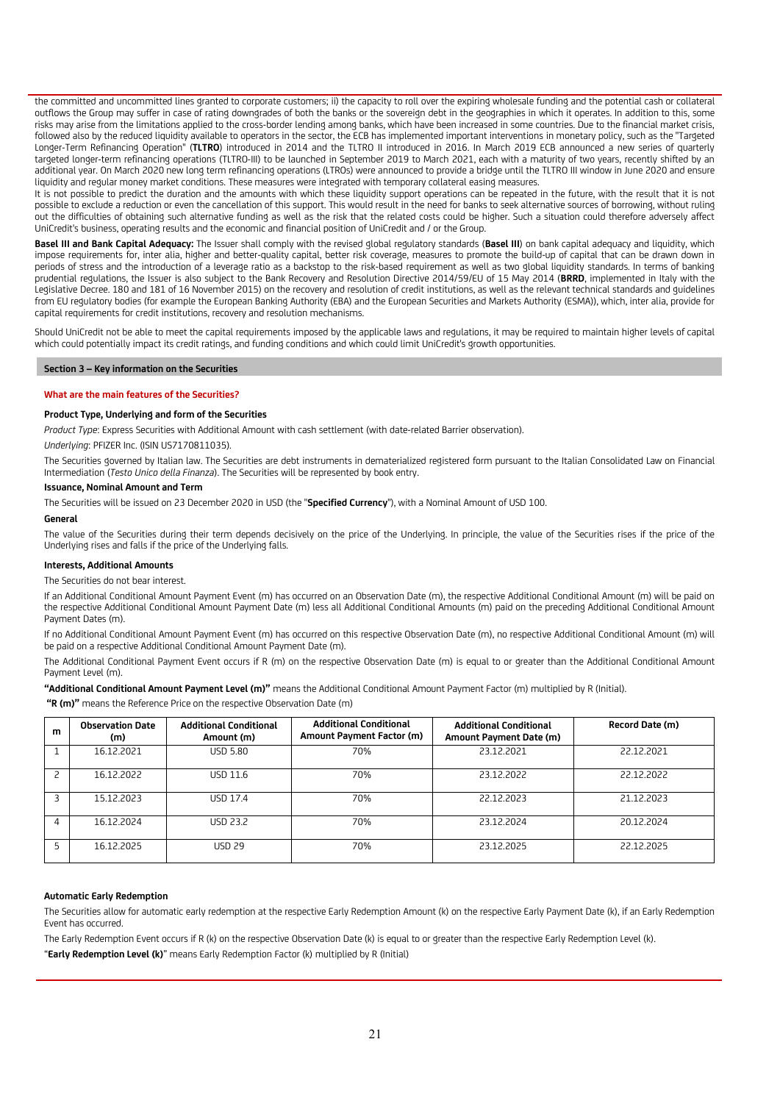the committed and uncommitted lines granted to corporate customers; ii) the capacity to roll over the expiring wholesale funding and the potential cash or collateral outflows the Group may suffer in case of rating downgrades of both the banks or the sovereign debt in the geographies in which it operates. In addition to this, some risks may arise from the limitations applied to the cross-border lending among banks, which have been increased in some countries. Due to the financial market crisis, followed also by the reduced liquidity available to operators in the sector, the ECB has implemented important interventions in monetary policy, such as the "Targeted Longer-Term Refinancing Operation" (**TLTRO**) introduced in 2014 and the TLTRO II introduced in 2016. In March 2019 ECB announced a new series of quarterly targeted longer-term refinancing operations (TLTRO-III) to be launched in September 2019 to March 2021, each with a maturity of two years, recently shifted by an additional year. On March 2020 new long term refinancing operations (LTROs) were announced to provide a bridge until the TLTRO III window in June 2020 and ensure liquidity and regular money market conditions. These measures were integrated with temporary collateral easing measures.

It is not possible to predict the duration and the amounts with which these liquidity support operations can be repeated in the future, with the result that it is not possible to exclude a reduction or even the cancellation of this support. This would result in the need for banks to seek alternative sources of borrowing, without ruling out the difficulties of obtaining such alternative funding as well as the risk that the related costs could be higher. Such a situation could therefore adversely affect UniCredit's business, operating results and the economic and financial position of UniCredit and / or the Group.

**Basel III and Bank Capital Adequacy:** The Issuer shall comply with the revised global regulatory standards (**Basel III**) on bank capital adequacy and liquidity, which impose requirements for, inter alia, higher and better-quality capital, better risk coverage, measures to promote the build-up of capital that can be drawn down in periods of stress and the introduction of a leverage ratio as a backstop to the risk-based requirement as well as two global liquidity standards. In terms of banking prudential regulations, the Issuer is also subject to the Bank Recovery and Resolution Directive 2014/59/EU of 15 May 2014 (**BRRD**, implemented in Italy with the Legislative Decree. 180 and 181 of 16 November 2015) on the recovery and resolution of credit institutions, as well as the relevant technical standards and guidelines from EU regulatory bodies (for example the European Banking Authority (EBA) and the European Securities and Markets Authority (ESMA)), which, inter alia, provide for capital requirements for credit institutions, recovery and resolution mechanisms.

Should UniCredit not be able to meet the capital requirements imposed by the applicable laws and regulations, it may be required to maintain higher levels of capital which could potentially impact its credit ratings, and funding conditions and which could limit UniCredit's growth opportunities.

# **Section 3 – Key information on the Securities**

### **What are the main features of the Securities?**

### **Product Type, Underlying and form of the Securities**

*Product Type*: Express Securities with Additional Amount with cash settlement (with date-related Barrier observation).

*Underlying*: PFIZER Inc. (ISIN US7170811035).

The Securities governed by Italian law. The Securities are debt instruments in dematerialized registered form pursuant to the Italian Consolidated Law on Financial Intermediation (*Testo Unico della Finanza*). The Securities will be represented by book entry.

#### **Issuance, Nominal Amount and Term**

The Securities will be issued on 23 December 2020 in USD (the "**Specified Currency**"), with a Nominal Amount of USD 100.

#### **General**

The value of the Securities during their term depends decisively on the price of the Underlying. In principle, the value of the Securities rises if the price of the Underlying rises and falls if the price of the Underlying falls.

#### **Interests, Additional Amounts**

The Securities do not bear interest.

If an Additional Conditional Amount Payment Event (m) has occurred on an Observation Date (m), the respective Additional Conditional Amount (m) will be paid on the respective Additional Conditional Amount Payment Date (m) less all Additional Conditional Amounts (m) paid on the preceding Additional Conditional Amount Payment Dates (m).

If no Additional Conditional Amount Payment Event (m) has occurred on this respective Observation Date (m), no respective Additional Conditional Amount (m) will be paid on a respective Additional Conditional Amount Payment Date (m).

The Additional Conditional Payment Event occurs if R (m) on the respective Observation Date (m) is equal to or greater than the Additional Conditional Amount Payment Level (m).

**"Additional Conditional Amount Payment Level (m)"** means the Additional Conditional Amount Payment Factor (m) multiplied by R (Initial).

**"R (m)"** means the Reference Price on the respective Observation Date (m)

| m | <b>Observation Date</b><br>(m) | <b>Additional Conditional</b><br>Amount (m) | <b>Additional Conditional</b><br>Amount Payment Factor (m) | <b>Additional Conditional</b><br>Amount Payment Date (m) | Record Date (m) |
|---|--------------------------------|---------------------------------------------|------------------------------------------------------------|----------------------------------------------------------|-----------------|
|   | 16.12.2021                     | <b>USD 5.80</b>                             | 70%                                                        | 23.12.2021                                               | 22.12.2021      |
|   | 16.12.2022                     | USD 11.6                                    | 70%                                                        | 23.12.2022                                               | 22.12.2022      |
|   | 15.12.2023                     | <b>USD 17.4</b>                             | 70%                                                        | 22.12.2023                                               | 21.12.2023      |
|   | 16.12.2024                     | <b>USD 23.2</b>                             | 70%                                                        | 23.12.2024                                               | 20.12.2024      |
|   | 16.12.2025                     | <b>USD 29</b>                               | 70%                                                        | 23.12.2025                                               | 22.12.2025      |

#### **Automatic Early Redemption**

The Securities allow for automatic early redemption at the respective Early Redemption Amount (k) on the respective Early Payment Date (k), if an Early Redemption Event has occurred.

The Early Redemption Event occurs if R (k) on the respective Observation Date (k) is equal to or greater than the respective Early Redemption Level (k). "**Early Redemption Level (k)**" means Early Redemption Factor (k) multiplied by R (Initial)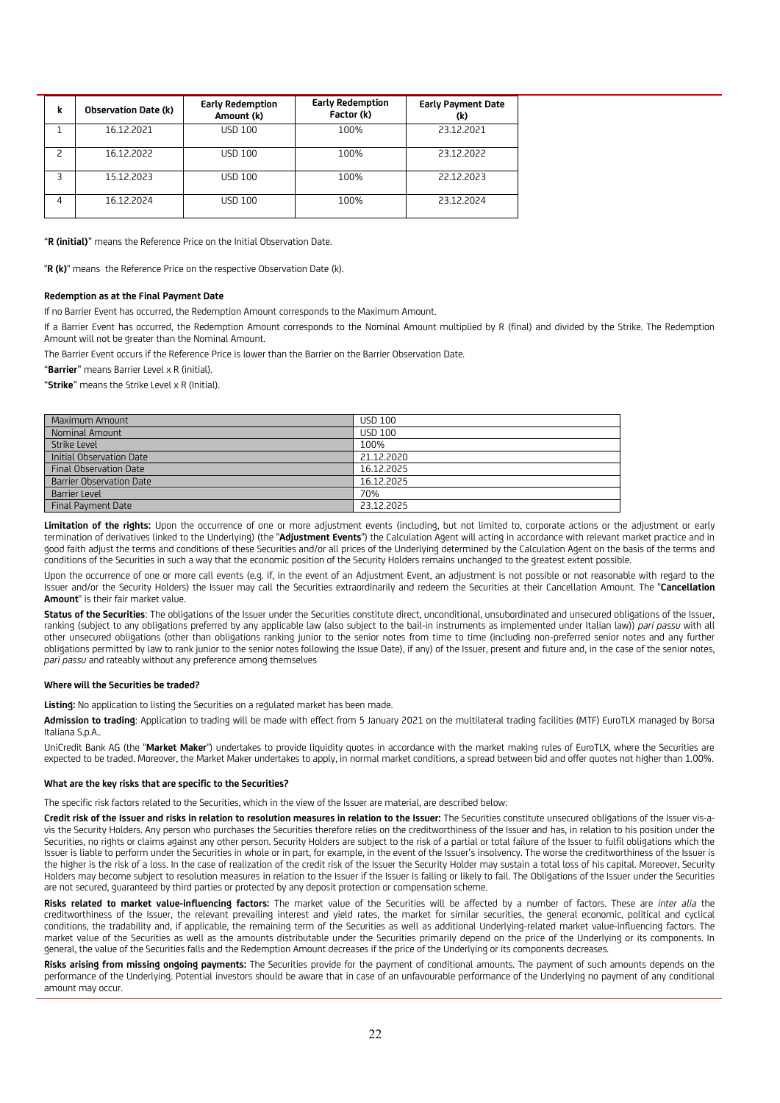| k | <b>Observation Date (k)</b> | <b>Early Redemption</b><br>Amount (k) | <b>Early Redemption</b><br>Factor (k) | <b>Early Payment Date</b><br>(k) |
|---|-----------------------------|---------------------------------------|---------------------------------------|----------------------------------|
|   | 16.12.2021                  | USD 100                               | 100%                                  | 23.12.2021                       |
|   | 16.12.2022                  | USD 100                               | 100%                                  | 23.12.2022                       |
| ς | 15.12.2023                  | USD 100                               | 100%                                  | 22.12.2023                       |
| 4 | 16.12.2024                  | USD 100                               | 100%                                  | 23.12.2024                       |

"**R (initial)**" means the Reference Price on the Initial Observation Date.

"**R (k)**" means the Reference Price on the respective Observation Date (k).

#### **Redemption as at the Final Payment Date**

If no Barrier Event has occurred, the Redemption Amount corresponds to the Maximum Amount.

If a Barrier Event has occurred, the Redemption Amount corresponds to the Nominal Amount multiplied by R (final) and divided by the Strike. The Redemption Amount will not be greater than the Nominal Amount.

The Barrier Event occurs if the Reference Price is lower than the Barrier on the Barrier Observation Date.

"**Barrier**" means Barrier Level x R (initial).

"**Strike**" means the Strike Level x R (Initial).

| Maximum Amount            | <b>USD 100</b> |
|---------------------------|----------------|
| Nominal Amount            | <b>USD 100</b> |
| Strike Level              | 100%           |
| Initial Observation Date  | 21.12.2020     |
| Final Observation Date    | 16.12.2025     |
| Barrier Observation Date  | 16.12.2025     |
| <b>Barrier Level</b>      | 70%            |
| <b>Final Payment Date</b> | 23.12.2025     |

Limitation of the rights: Upon the occurrence of one or more adjustment events (including, but not limited to, corporate actions or the adjustment or early termination of derivatives linked to the Underlying) (the "**Adjustment Events**") the Calculation Agent will acting in accordance with relevant market practice and in good faith adjust the terms and conditions of these Securities and/or all prices of the Underlying determined by the Calculation Agent on the basis of the terms and conditions of the Securities in such a way that the economic position of the Security Holders remains unchanged to the greatest extent possible.

Upon the occurrence of one or more call events (e.g. if, in the event of an Adjustment Event, an adjustment is not possible or not reasonable with regard to the Issuer and/or the Security Holders) the Issuer may call the Securities extraordinarily and redeem the Securities at their Cancellation Amount. The "**Cancellation Amount**" is their fair market value.

**Status of the Securities**: The obligations of the Issuer under the Securities constitute direct, unconditional, unsubordinated and unsecured obligations of the Issuer, ranking (subject to any obligations preferred by any applicable law (also subject to the bail-in instruments as implemented under Italian law)) *pari passu* with all other unsecured obligations (other than obligations ranking junior to the senior notes from time to time (including non-preferred senior notes and any further obligations permitted by law to rank junior to the senior notes following the Issue Date), if any) of the Issuer, present and future and, in the case of the senior notes, *pari passu* and rateably without any preference among themselves

#### **Where will the Securities be traded?**

**Listing:** No application to listing the Securities on a regulated market has been made.

**Admission to trading**: Application to trading will be made with effect from 5 January 2021 on the multilateral trading facilities (MTF) EuroTLX managed by Borsa Italiana S.p.A..

UniCredit Bank AG (the "**Market Maker**") undertakes to provide liquidity quotes in accordance with the market making rules of EuroTLX, where the Securities are expected to be traded. Moreover, the Market Maker undertakes to apply, in normal market conditions, a spread between bid and offer quotes not higher than 1.00%.

#### **What are the key risks that are specific to the Securities?**

The specific risk factors related to the Securities, which in the view of the Issuer are material, are described below:

**Credit risk of the Issuer and risks in relation to resolution measures in relation to the Issuer:** The Securities constitute unsecured obligations of the Issuer vis-avis the Security Holders. Any person who purchases the Securities therefore relies on the creditworthiness of the Issuer and has, in relation to his position under the Securities, no rights or claims against any other person. Security Holders are subject to the risk of a partial or total failure of the Issuer to fulfil obligations which the Issuer is liable to perform under the Securities in whole or in part, for example, in the event of the Issuer's insolvency. The worse the creditworthiness of the Issuer is the higher is the risk of a loss. In the case of realization of the credit risk of the Issuer the Security Holder may sustain a total loss of his capital. Moreover, Security Holders may become subject to resolution measures in relation to the Issuer if the Issuer is failing or likely to fail. The Obligations of the Issuer under the Securities are not secured, guaranteed by third parties or protected by any deposit protection or compensation scheme.

**Risks related to market value-influencing factors:** The market value of the Securities will be affected by a number of factors. These are *inter alia* the creditworthiness of the Issuer, the relevant prevailing interest and yield rates, the market for similar securities, the general economic, political and cyclical conditions, the tradability and, if applicable, the remaining term of the Securities as well as additional Underlying-related market value-influencing factors. The market value of the Securities as well as the amounts distributable under the Securities primarily depend on the price of the Underlying or its components. In general, the value of the Securities falls and the Redemption Amount decreases if the price of the Underlying or its components decreases.

**Risks arising from missing ongoing payments:** The Securities provide for the payment of conditional amounts. The payment of such amounts depends on the performance of the Underlying. Potential investors should be aware that in case of an unfavourable performance of the Underlying no payment of any conditional amount may occur.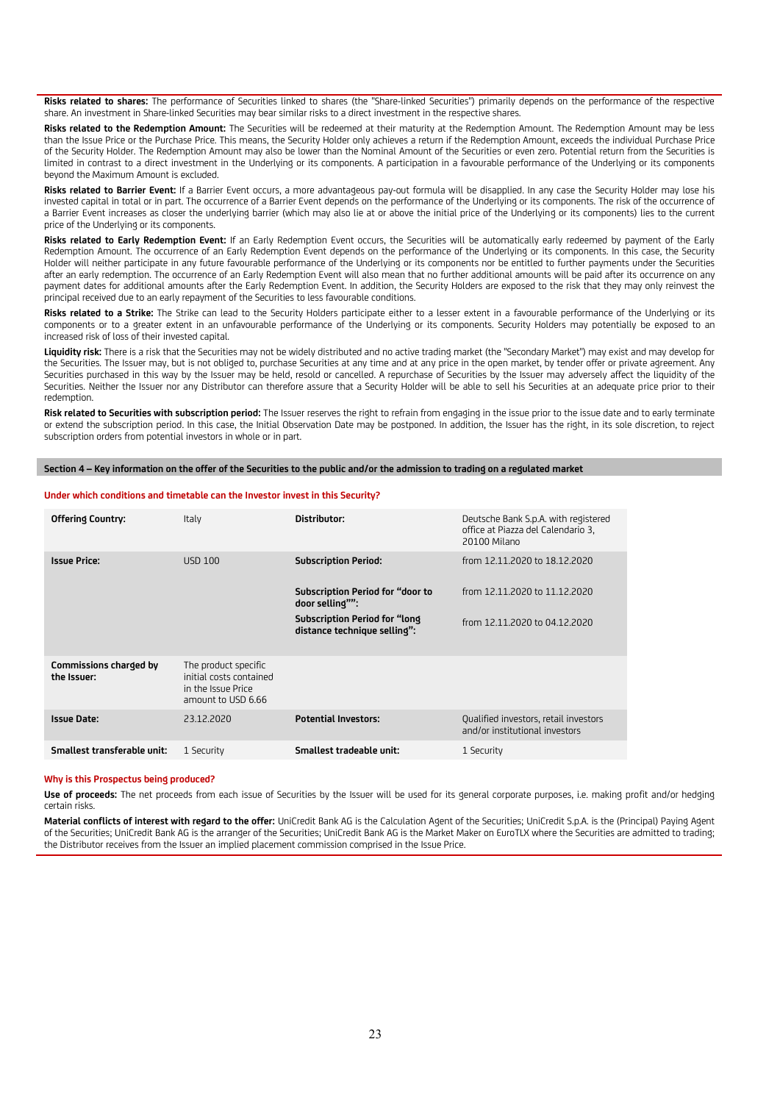**Risks related to shares:** The performance of Securities linked to shares (the "Share-linked Securities") primarily depends on the performance of the respective share. An investment in Share-linked Securities may bear similar risks to a direct investment in the respective shares.

**Risks related to the Redemption Amount:** The Securities will be redeemed at their maturity at the Redemption Amount. The Redemption Amount may be less than the Issue Price or the Purchase Price. This means, the Security Holder only achieves a return if the Redemption Amount, exceeds the individual Purchase Price of the Security Holder. The Redemption Amount may also be lower than the Nominal Amount of the Securities or even zero. Potential return from the Securities is limited in contrast to a direct investment in the Underlying or its components. A participation in a favourable performance of the Underlying or its components beyond the Maximum Amount is excluded.

**Risks related to Barrier Event:** If a Barrier Event occurs, a more advantageous pay-out formula will be disapplied. In any case the Security Holder may lose his invested capital in total or in part. The occurrence of a Barrier Event depends on the performance of the Underlying or its components. The risk of the occurrence of a Barrier Event increases as closer the underlying barrier (which may also lie at or above the initial price of the Underlying or its components) lies to the current price of the Underlying or its components.

**Risks related to Early Redemption Event:** If an Early Redemption Event occurs, the Securities will be automatically early redeemed by payment of the Early Redemption Amount. The occurrence of an Early Redemption Event depends on the performance of the Underlying or its components. In this case, the Security Holder will neither participate in any future favourable performance of the Underlying or its components nor be entitled to further payments under the Securities after an early redemption. The occurrence of an Early Redemption Event will also mean that no further additional amounts will be paid after its occurrence on any payment dates for additional amounts after the Early Redemption Event. In addition, the Security Holders are exposed to the risk that they may only reinvest the principal received due to an early repayment of the Securities to less favourable conditions.

**Risks related to a Strike:** The Strike can lead to the Security Holders participate either to a lesser extent in a favourable performance of the Underlying or its components or to a greater extent in an unfavourable performance of the Underlying or its components. Security Holders may potentially be exposed to an increased risk of loss of their invested capital.

Liquidity risk: There is a risk that the Securities may not be widely distributed and no active trading market (the "Secondary Market") may exist and may develop for the Securities. The Issuer may, but is not obliged to, purchase Securities at any time and at any price in the open market, by tender offer or private agreement. Any Securities purchased in this way by the Issuer may be held, resold or cancelled. A repurchase of Securities by the Issuer may adversely affect the liquidity of the Securities. Neither the Issuer nor any Distributor can therefore assure that a Security Holder will be able to sell his Securities at an adequate price prior to their redemption.

**Risk related to Securities with subscription period:** The Issuer reserves the right to refrain from engaging in the issue prior to the issue date and to early terminate or extend the subscription period. In this case, the Initial Observation Date may be postponed. In addition, the Issuer has the right, in its sole discretion, to reject subscription orders from potential investors in whole or in part.

**Section 4 – Key information on the offer of the Securities to the public and/or the admission to trading on a regulated market**

#### **Under which conditions and timetable can the Investor invest in this Security?**

| <b>Offering Country:</b>              | Italy                                                                                       | Distributor:                                                  | Deutsche Bank S.p.A. with registered<br>office at Piazza del Calendario 3,<br>20100 Milano |
|---------------------------------------|---------------------------------------------------------------------------------------------|---------------------------------------------------------------|--------------------------------------------------------------------------------------------|
| <b>Issue Price:</b>                   | <b>USD 100</b>                                                                              | <b>Subscription Period:</b>                                   | from 12.11.2020 to 18.12.2020                                                              |
|                                       |                                                                                             | Subscription Period for "door to<br>door selling"":           | from 12.11.2020 to 11.12.2020                                                              |
|                                       |                                                                                             | Subscription Period for "long<br>distance technique selling": | from 12.11.2020 to 04.12.2020                                                              |
| Commissions charged by<br>the Issuer: | The product specific<br>initial costs contained<br>in the Issue Price<br>amount to USD 6.66 |                                                               |                                                                                            |
| <b>Issue Date:</b>                    | 23.12.2020                                                                                  | <b>Potential Investors:</b>                                   | Qualified investors, retail investors<br>and/or institutional investors                    |
| Smallest transferable unit:           | 1 Security                                                                                  | Smallest tradeable unit:                                      | 1 Security                                                                                 |

#### **Why is this Prospectus being produced?**

**Use of proceeds:** The net proceeds from each issue of Securities by the Issuer will be used for its general corporate purposes, i.e. making profit and/or hedging certain risks.

**Material conflicts of interest with regard to the offer:** UniCredit Bank AG is the Calculation Agent of the Securities; UniCredit S.p.A. is the (Principal) Paying Agent of the Securities; UniCredit Bank AG is the arranger of the Securities; UniCredit Bank AG is the Market Maker on EuroTLX where the Securities are admitted to trading; the Distributor receives from the Issuer an implied placement commission comprised in the Issue Price.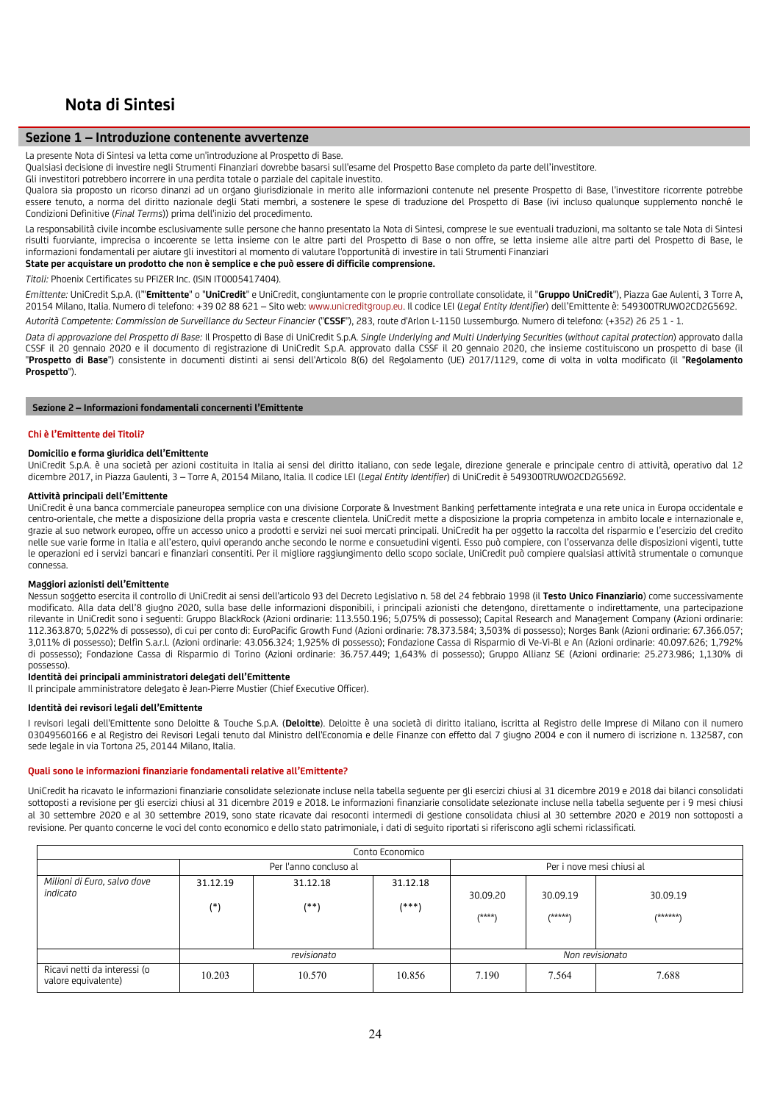# **Nota di Sintesi**

## **Sezione 1 – Introduzione contenente avvertenze**

La presente Nota di Sintesi va letta come un'introduzione al Prospetto di Base.

Qualsiasi decisione di investire negli Strumenti Finanziari dovrebbe basarsi sull'esame del Prospetto Base completo da parte dell'investitore.

Gli investitori potrebbero incorrere in una perdita totale o parziale del capitale investito.

Qualora sia proposto un ricorso dinanzi ad un organo giurisdizionale in merito alle informazioni contenute nel presente Prospetto di Base, l'investitore ricorrente potrebbe essere tenuto, a norma del diritto nazionale degli Stati membri, a sostenere le spese di traduzione del Prospetto di Base (ivi incluso qualunque supplemento nonché le Condizioni Definitive (*Final Terms*)) prima dell'inizio del procedimento.

La responsabilità civile incombe esclusivamente sulle persone che hanno presentato la Nota di Sintesi, comprese le sue eventuali traduzioni, ma soltanto se tale Nota di Sintesi risulti fuorviante, imprecisa o incoerente se letta insieme con le altre parti del Prospetto di Base o non offre, se letta insieme alle altre parti del Prospetto di Base, le informazioni fondamentali per aiutare gli investitori al momento di valutare l'opportunità di investire in tali Strumenti Finanziari

# **State per acquistare un prodotto che non è semplice e che può essere di difficile comprensione.**

*Titoli:* Phoenix Certificates su PFIZER Inc. (ISIN IT0005417404).

*Emittente:* UniCredit S.p.A. (l'"**Emittente**" o "**UniCredit**" e UniCredit, congiuntamente con le proprie controllate consolidate, il "**Gruppo UniCredit**"), Piazza Gae Aulenti, 3 Torre A, 20154 Milano, Italia. Numero di telefono: +39 02 88 621 – Sito web: www.unicreditgroup.eu. Il codice LEI (*Legal Entity Identifier*) dell'Emittente è: 549300TRUWO2CD2G5692.

*Autorità Competente: Commission de Surveillance du Secteur Financier* ("**CSSF**"), 283, route d'Arlon L-1150 Lussemburgo. Numero di telefono: (+352) 26 25 1 - 1.

*Data di approvazione del Prospetto di Base:* Il Prospetto di Base di UniCredit S.p.A. *Single Underlying and Multi Underlying Securities* (*without capital protection*) approvato dalla CSSF il 20 gennaio 2020 e il documento di registrazione di UniCredit S.p.A. approvato dalla CSSF il 20 gennaio 2020, che insieme costituiscono un prospetto di base (il "**Prospetto di Base**") consistente in documenti distinti ai sensi dell'Articolo 8(6) del Regolamento (UE) 2017/1129, come di volta in volta modificato (il "**Regolamento Prospetto**").

#### **Sezione 2 – Informazioni fondamentali concernenti l'Emittente**

#### **Chi è l'Emittente dei Titoli?**

#### **Domicilio e forma giuridica dell'Emittente**

UniCredit S.p.A. è una società per azioni costituita in Italia ai sensi del diritto italiano, con sede legale, direzione generale e principale centro di attività, operativo dal 12 dicembre 2017, in Piazza Gaulenti, 3 – Torre A, 20154 Milano, Italia. Il codice LEI (*Legal Entity Identifier*) di UniCredit è 549300TRUWO2CD2G5692.

#### **Attività principali dell'Emittente**

UniCredit è una banca commerciale paneuropea semplice con una divisione Corporate & Investment Banking perfettamente integrata e una rete unica in Europa occidentale e centro-orientale, che mette a disposizione della propria vasta e crescente clientela. UniCredit mette a disposizione la propria competenza in ambito locale e internazionale e, grazie al suo network europeo, offre un accesso unico a prodotti e servizi nei suoi mercati principali. UniCredit ha per oggetto la raccolta del risparmio e l'esercizio del credito nelle sue varie forme in Italia e all'estero, quivi operando anche secondo le norme e consuetudini vigenti. Esso può compiere, con l'osservanza delle disposizioni vigenti, tutte le operazioni ed i servizi bancari e finanziari consentiti. Per il migliore raggiungimento dello scopo sociale, UniCredit può compiere qualsiasi attività strumentale o comunque connessa.

#### **Maggiori azionisti dell'Emittente**

Nessun soggetto esercita il controllo di UniCredit ai sensi dell'articolo 93 del Decreto Legislativo n. 58 del 24 febbraio 1998 (il **Testo Unico Finanziario**) come successivamente modificato. Alla data dell'8 giugno 2020, sulla base delle informazioni disponibili, i principali azionisti che detengono, direttamente o indirettamente, una partecipazione rilevante in UniCredit sono i seguenti: Gruppo BlackRock (Azioni ordinarie: 113.550.196; 5,075% di possesso); Capital Research and Management Company (Azioni ordinarie: 112.363.870; 5,022% di possesso), di cui per conto di: EuroPacific Growth Fund (Azioni ordinarie: 78.373.584; 3,503% di possesso); Norges Bank (Azioni ordinarie: 67.366.057; 3,011% di possesso); Delfin S.a.r.l. (Azioni ordinarie: 43.056.324; 1,925% di possesso); Fondazione Cassa di Risparmio di Ve-Vi-Bl e An (Azioni ordinarie: 40.097.626; 1,792% di possesso); Fondazione Cassa di Risparmio di Torino (Azioni ordinarie: 36.757.449; 1,643% di possesso); Gruppo Allianz SE (Azioni ordinarie: 25.273.986; 1,130% di possesso).

#### **Identità dei principali amministratori delegati dell'Emittente**

Il principale amministratore delegato è Jean-Pierre Mustier (Chief Executive Officer).

## **Identità dei revisori legali dell'Emittente**

I revisori legali dell'Emittente sono Deloitte & Touche S.p.A. (**Deloitte**). Deloitte è una società di diritto italiano, iscritta al Registro delle Imprese di Milano con il numero 03049560166 e al Registro dei Revisori Legali tenuto dal Ministro dell'Economia e delle Finanze con effetto dal 7 giugno 2004 e con il numero di iscrizione n. 132587, con sede legale in via Tortona 25, 20144 Milano, Italia.

#### **Quali sono le informazioni finanziarie fondamentali relative all'Emittente?**

UniCredit ha ricavato le informazioni finanziarie consolidate selezionate incluse nella tabella seguente per gli esercizi chiusi al 31 dicembre 2019 e 2018 dai bilanci consolidati sottoposti a revisione per gli esercizi chiusi al 31 dicembre 2019 e 2018. Le informazioni finanziarie consolidate selezionate incluse nella tabella seguente per i 9 mesi chiusi al 30 settembre 2020 e al 30 settembre 2019, sono state ricavate dai resoconti intermedi di gestione consolidata chiusi al 30 settembre 2020 e 2019 non sottoposti a revisione. Per quanto concerne le voci del conto economico e dello stato patrimoniale, i dati di seguito riportati si riferiscono agli schemi riclassificati.

|                                                     | Conto Economico   |                        |                   |                           |                     |                      |  |  |  |
|-----------------------------------------------------|-------------------|------------------------|-------------------|---------------------------|---------------------|----------------------|--|--|--|
|                                                     |                   | Per l'anno concluso al |                   | Per i nove mesi chiusi al |                     |                      |  |  |  |
| Milioni di Euro, salvo dove<br>indicato             | 31.12.19<br>$(*)$ | 31.12.18<br>$(**)$     | 31.12.18<br>(***) | 30.09.20<br>$(****)$      | 30.09.19<br>/*****\ | 30.09.19<br>/******* |  |  |  |
|                                                     |                   | revisionato            |                   |                           |                     | Non revisionato      |  |  |  |
| Ricavi netti da interessi (o<br>valore equivalente) | 10.203            | 10.570                 | 10.856            | 7.190                     | 7.564               | 7.688                |  |  |  |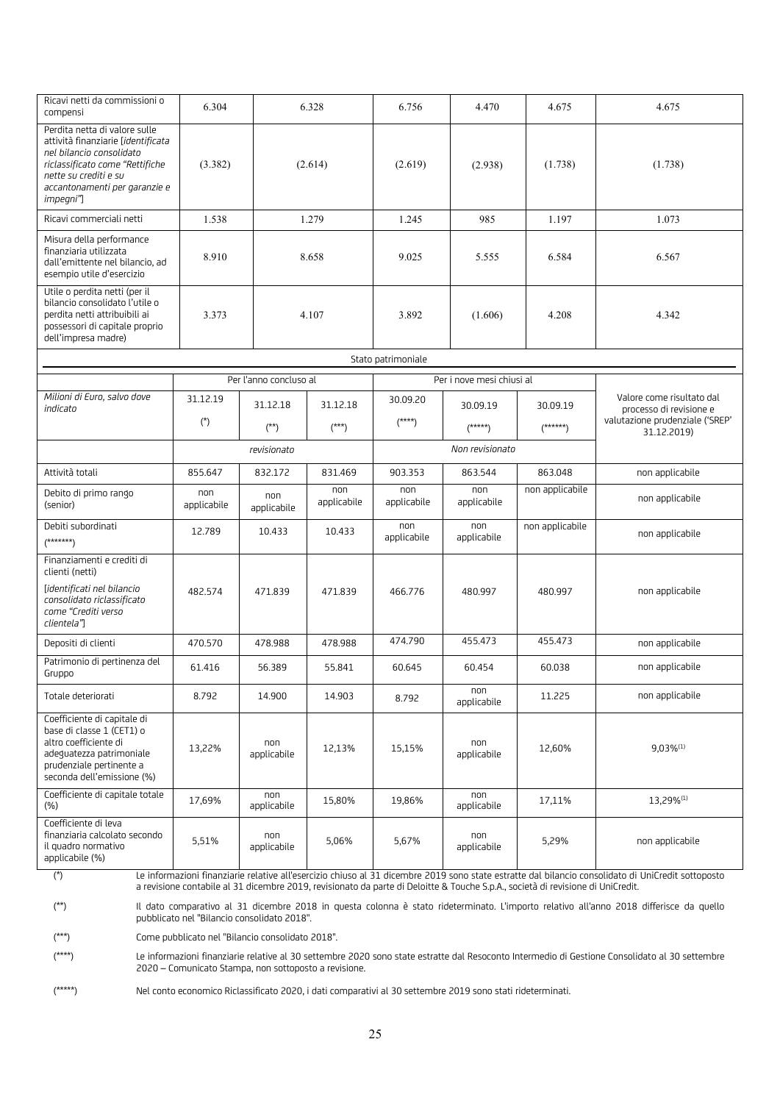| Ricavi netti da commissioni o<br>compensi                                                                                                                                                                 | 6.304                                                                                                                                                                                 |                        | 6.328              | 6.756              | 4.470                     | 4.675                                                                                                                           | 4.675                                                                                                                                              |
|-----------------------------------------------------------------------------------------------------------------------------------------------------------------------------------------------------------|---------------------------------------------------------------------------------------------------------------------------------------------------------------------------------------|------------------------|--------------------|--------------------|---------------------------|---------------------------------------------------------------------------------------------------------------------------------|----------------------------------------------------------------------------------------------------------------------------------------------------|
| Perdita netta di valore sulle<br>attività finanziarie [identificata<br>nel bilancio consolidato<br>riclassificato come "Rettifiche<br>nette su crediti e su<br>accantonamenti per garanzie e<br>impegni"] | (3.382)                                                                                                                                                                               |                        | (2.614)            | (2.619)            | (2.938)                   | (1.738)                                                                                                                         | (1.738)                                                                                                                                            |
| Ricavi commerciali netti                                                                                                                                                                                  | 1.538                                                                                                                                                                                 |                        | 1.279              | 1.245              | 985                       | 1.197                                                                                                                           | 1.073                                                                                                                                              |
| Misura della performance<br>finanziaria utilizzata<br>dall'emittente nel bilancio, ad<br>esempio utile d'esercizio                                                                                        | 8.910                                                                                                                                                                                 |                        | 8.658              |                    | 5.555                     | 6.584                                                                                                                           | 6.567                                                                                                                                              |
| Utile o perdita netti (per il<br>bilancio consolidato l'utile o<br>perdita netti attribuibili ai<br>possessori di capitale proprio<br>dell'impresa madre)                                                 | 3.373                                                                                                                                                                                 |                        | 4.107              | 3.892              | (1.606)                   | 4.208                                                                                                                           | 4.342                                                                                                                                              |
|                                                                                                                                                                                                           |                                                                                                                                                                                       |                        |                    | Stato patrimoniale |                           |                                                                                                                                 |                                                                                                                                                    |
|                                                                                                                                                                                                           |                                                                                                                                                                                       | Per l'anno concluso al |                    |                    | Per i nove mesi chiusi al |                                                                                                                                 |                                                                                                                                                    |
| Milioni di Euro, salvo dove<br>indicato                                                                                                                                                                   | 31.12.19                                                                                                                                                                              | 31.12.18               | 31.12.18           | 30.09.20           | 30.09.19                  | 30.09.19                                                                                                                        | Valore come risultato dal<br>processo di revisione e                                                                                               |
|                                                                                                                                                                                                           | $(*)$                                                                                                                                                                                 | $(**)$                 | $(***)$            | $(****)$           | $(****)$                  | $(*****)$                                                                                                                       | valutazione prudenziale ('SREP'<br>31.12.2019)                                                                                                     |
|                                                                                                                                                                                                           | revisionato                                                                                                                                                                           |                        |                    |                    | Non revisionato           |                                                                                                                                 |                                                                                                                                                    |
| Attività totali                                                                                                                                                                                           | 855.647                                                                                                                                                                               | 832.172                | 831.469            | 903.353            | 863.544                   | 863.048                                                                                                                         | non applicabile                                                                                                                                    |
| Debito di primo rango<br>(senior)                                                                                                                                                                         | non<br>applicabile                                                                                                                                                                    | non<br>applicabile     | non<br>applicabile | non<br>applicabile | non<br>applicabile        | non applicabile                                                                                                                 | non applicabile                                                                                                                                    |
| Debiti subordinati<br>(*******)                                                                                                                                                                           | 12.789                                                                                                                                                                                | 10.433                 | 10.433             | non<br>applicabile | non<br>applicabile        | non applicabile                                                                                                                 | non applicabile                                                                                                                                    |
| Finanziamenti e crediti di<br>clienti (netti)<br>[identificati nel bilancio<br>consolidato riclassificato<br>come "Crediti verso<br>clientela"]                                                           | 482.574                                                                                                                                                                               | 471.839                | 471.839            | 466.776            | 480.997                   | 480.997                                                                                                                         | non applicabile                                                                                                                                    |
| Depositi di clienti                                                                                                                                                                                       | 470.570                                                                                                                                                                               | 478.988                | 478.988            | 474.790            | 455.473                   | 455.473                                                                                                                         | non applicabile                                                                                                                                    |
| Patrimonio di pertinenza del<br>Gruppo                                                                                                                                                                    | 61.416                                                                                                                                                                                | 56.389                 | 55.841             | 60.645             | 60.454                    | 60.038                                                                                                                          | non applicabile                                                                                                                                    |
| Totale deteriorati                                                                                                                                                                                        | 8.792                                                                                                                                                                                 | 14.900                 | 14.903             | 8.792              | non<br>applicabile        | 11.225                                                                                                                          | non applicabile                                                                                                                                    |
| Coefficiente di capitale di<br>base di classe 1 (CET1) o<br>altro coefficiente di<br>adeguatezza patrimoniale<br>prudenziale pertinente a<br>seconda dell'emissione (%)                                   | 13,22%                                                                                                                                                                                | non<br>applicabile     | 12,13%             | 15,15%             | non<br>applicabile        | 12,60%                                                                                                                          | $9.03\%^{(1)}$                                                                                                                                     |
| Coefficiente di capitale totale<br>(%)                                                                                                                                                                    | 17,69%                                                                                                                                                                                | non<br>applicabile     | 15,80%             | 19,86%             | non<br>applicabile        | 17,11%                                                                                                                          | 13,29%(1)                                                                                                                                          |
| Coefficiente di leva<br>finanziaria calcolato secondo<br>il quadro normativo<br>applicabile (%)                                                                                                           | 5,51%                                                                                                                                                                                 | non<br>applicabile     | 5,06%              | 5,67%              | non<br>applicabile        | 5,29%                                                                                                                           | non applicabile                                                                                                                                    |
| $(*)$                                                                                                                                                                                                     |                                                                                                                                                                                       |                        |                    |                    |                           | a revisione contabile al 31 dicembre 2019, revisionato da parte di Deloitte & Touche S.p.A., società di revisione di UniCredit. | Le informazioni finanziarie relative all'esercizio chiuso al 31 dicembre 2019 sono state estratte dal bilancio consolidato di UniCredit sottoposto |
| $\left( ^{\ast \ast }\right)$                                                                                                                                                                             | Il dato comparativo al 31 dicembre 2018 in questa colonna è stato rideterminato. L'importo relativo all'anno 2018 differisce da quello<br>pubblicato nel "Bilancio consolidato 2018". |                        |                    |                    |                           |                                                                                                                                 |                                                                                                                                                    |
| $(***)$<br>Come pubblicato nel "Bilancio consolidato 2018".                                                                                                                                               |                                                                                                                                                                                       |                        |                    |                    |                           |                                                                                                                                 |                                                                                                                                                    |

(\*\*\*\*) Le informazioni finanziarie relative al 30 settembre 2020 sono state estratte dal Resoconto Intermedio di Gestione Consolidato al 30 settembre 2020 – Comunicato Stampa, non sottoposto a revisione.

(\*\*\*\*\*) Nel conto economico Riclassificato 2020, i dati comparativi al 30 settembre 2019 sono stati rideterminati.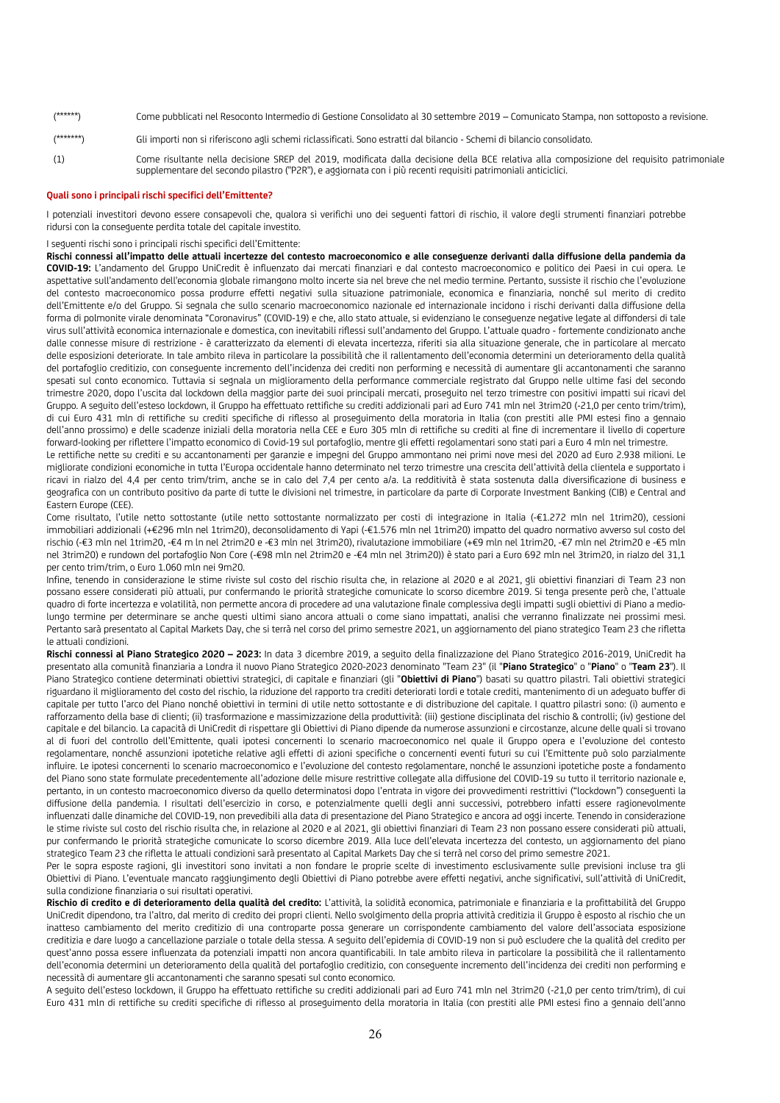(\*\*\*\*\*\*) Come pubblicati nel Resoconto Intermedio di Gestione Consolidato al 30 settembre 2019 – Comunicato Stampa, non sottoposto a revisione. (\*\*\*\*\*\*\*) Gli importi non si riferiscono agli schemi riclassificati. Sono estratti dal bilancio - Schemi di bilancio consolidato. (1) Come risultante nella decisione SREP del 2019, modificata dalla decisione della BCE relativa alla composizione del requisito patrimoniale

#### **Quali sono i principali rischi specifici dell'Emittente?**

I potenziali investitori devono essere consapevoli che, qualora si verifichi uno dei seguenti fattori di rischio, il valore degli strumenti finanziari potrebbe ridursi con la conseguente perdita totale del capitale investito.

supplementare del secondo pilastro ("P2R"), e aggiornata con i più recenti requisiti patrimoniali anticiclici.

I seguenti rischi sono i principali rischi specifici dell'Emittente:

**Rischi connessi all'impatto delle attuali incertezze del contesto macroeconomico e alle conseguenze derivanti dalla diffusione della pandemia da COVID-19:** L'andamento del Gruppo UniCredit è influenzato dai mercati finanziari e dal contesto macroeconomico e politico dei Paesi in cui opera. Le aspettative sull'andamento dell'economia globale rimangono molto incerte sia nel breve che nel medio termine. Pertanto, sussiste il rischio che l'evoluzione del contesto macroeconomico possa produrre effetti negativi sulla situazione patrimoniale, economica e finanziaria, nonché sul merito di credito dell'Emittente e/o del Gruppo. Si segnala che sullo scenario macroeconomico nazionale ed internazionale incidono i rischi derivanti dalla diffusione della forma di polmonite virale denominata "Coronavirus" (COVID-19) e che, allo stato attuale, si evidenziano le conseguenze negative legate al diffondersi di tale virus sull'attività economica internazionale e domestica, con inevitabili riflessi sull'andamento del Gruppo. L'attuale quadro - fortemente condizionato anche dalle connesse misure di restrizione - è caratterizzato da elementi di elevata incertezza, riferiti sia alla situazione generale, che in particolare al mercato delle esposizioni deteriorate. In tale ambito rileva in particolare la possibilità che il rallentamento dell'economia determini un deterioramento della qualità del portafoglio creditizio, con conseguente incremento dell'incidenza dei crediti non performing e necessità di aumentare gli accantonamenti che saranno spesati sul conto economico. Tuttavia si segnala un miglioramento della performance commerciale registrato dal Gruppo nelle ultime fasi del secondo trimestre 2020, dopo l'uscita dal lockdown della maggior parte dei suoi principali mercati, proseguito nel terzo trimestre con positivi impatti sui ricavi del Gruppo. A seguito dell'esteso lockdown, il Gruppo ha effettuato rettifiche su crediti addizionali pari ad Euro 741 mln nel 3trim20 (-21,0 per cento trim/trim), di cui Euro 431 mln di rettifiche su crediti specifiche di riflesso al proseguimento della moratoria in Italia (con prestiti alle PMI estesi fino a gennaio dell'anno prossimo) e delle scadenze iniziali della moratoria nella CEE e Euro 305 mln di rettifiche su crediti al fine di incrementare il livello di coperture forward-looking per riflettere l'impatto economico di Covid-19 sul portafoglio, mentre gli effetti regolamentari sono stati pari a Euro 4 mln nel trimestre.

Le rettifiche nette su crediti e su accantonamenti per garanzie e impegni del Gruppo ammontano nei primi nove mesi del 2020 ad Euro 2.938 milioni. Le migliorate condizioni economiche in tutta l'Europa occidentale hanno determinato nel terzo trimestre una crescita dell'attività della clientela e supportato i ricavi in rialzo del 4,4 per cento trim/trim, anche se in calo del 7,4 per cento a/a. La redditività è stata sostenuta dalla diversificazione di business e geografica con un contributo positivo da parte di tutte le divisioni nel trimestre, in particolare da parte di Corporate Investment Banking (CIB) e Central and Eastern Europe (CEE).

Come risultato, l'utile netto sottostante (utile netto sottostante normalizzato per costi di integrazione in Italia (-€1.272 mln nel 1trim20), cessioni immobiliari addizionali (+€296 mln nel 1trim20), deconsolidamento di Yapi (-€1.576 mln nel 1trim20) impatto del quadro normativo avverso sul costo del rischio (-€3 mln nel 1trim20, -€4 m ln nel 2trim20 e -€3 mln nel 3trim20), rivalutazione immobiliare (+€9 mln nel 1trim20, -€7 mln nel 2trim20 e -€5 mln nel 3trim20) e rundown del portafoglio Non Core (-€98 mln nel 2trim20 e -€4 mln nel 3trim20)) è stato pari a Euro 692 mln nel 3trim20, in rialzo del 31,1 per cento trim/trim, o Euro 1.060 mln nei 9m20.

Infine, tenendo in considerazione le stime riviste sul costo del rischio risulta che, in relazione al 2020 e al 2021, gli obiettivi finanziari di Team 23 non possano essere considerati più attuali, pur confermando le priorità strategiche comunicate lo scorso dicembre 2019. Si tenga presente però che, l'attuale quadro di forte incertezza e volatilità, non permette ancora di procedere ad una valutazione finale complessiva degli impatti sugli obiettivi di Piano a mediolungo termine per determinare se anche questi ultimi siano ancora attuali o come siano impattati, analisi che verranno finalizzate nei prossimi mesi. Pertanto sarà presentato al Capital Markets Day, che si terrà nel corso del primo semestre 2021, un aggiornamento del piano strategico Team 23 che rifletta le attuali condizioni.

**Rischi connessi al Piano Strategico 2020 – 2023:** In data 3 dicembre 2019, a seguito della finalizzazione del Piano Strategico 2016-2019, UniCredit ha presentato alla comunità finanziaria a Londra il nuovo Piano Strategico 2020-2023 denominato "Team 23" (il "**Piano Strategico**" o "**Piano**" o "**Team 23**"). Il Piano Strategico contiene determinati obiettivi strategici, di capitale e finanziari (gli "**Obiettivi di Piano**") basati su quattro pilastri. Tali obiettivi strategici riguardano il miglioramento del costo del rischio, la riduzione del rapporto tra crediti deteriorati lordi e totale crediti, mantenimento di un adeguato buffer di capitale per tutto l'arco del Piano nonché obiettivi in termini di utile netto sottostante e di distribuzione del capitale. I quattro pilastri sono: (i) aumento e rafforzamento della base di clienti; (ii) trasformazione e massimizzazione della produttività: (iii) gestione disciplinata del rischio & controlli; (iv) gestione del capitale e del bilancio. La capacità di UniCredit di rispettare gli Obiettivi di Piano dipende da numerose assunzioni e circostanze, alcune delle quali si trovano al di fuori del controllo dell'Emittente, quali ipotesi concernenti lo scenario macroeconomico nel quale il Gruppo opera e l'evoluzione del contesto regolamentare, nonché assunzioni ipotetiche relative agli effetti di azioni specifiche o concernenti eventi futuri su cui l'Emittente può solo parzialmente influire. Le ipotesi concernenti lo scenario macroeconomico e l'evoluzione del contesto regolamentare, nonché le assunzioni ipotetiche poste a fondamento del Piano sono state formulate precedentemente all'adozione delle misure restrittive collegate alla diffusione del COVID-19 su tutto il territorio nazionale e, pertanto, in un contesto macroeconomico diverso da quello determinatosi dopo l'entrata in vigore dei provvedimenti restrittivi ("lockdown") conseguenti la diffusione della pandemia. I risultati dell'esercizio in corso, e potenzialmente quelli degli anni successivi, potrebbero infatti essere ragionevolmente influenzati dalle dinamiche del COVID-19, non prevedibili alla data di presentazione del Piano Strategico e ancora ad oggi incerte. Tenendo in considerazione le stime riviste sul costo del rischio risulta che, in relazione al 2020 e al 2021, gli obiettivi finanziari di Team 23 non possano essere considerati più attuali, pur confermando le priorità strategiche comunicate lo scorso dicembre 2019. Alla luce dell'elevata incertezza del contesto, un aggiornamento del piano strategico Team 23 che rifletta le attuali condizioni sarà presentato al Capital Markets Day che si terrà nel corso del primo semestre 2021.

Per le sopra esposte ragioni, gli investitori sono invitati a non fondare le proprie scelte di investimento esclusivamente sulle previsioni incluse tra gli Obiettivi di Piano. L'eventuale mancato raggiungimento degli Obiettivi di Piano potrebbe avere effetti negativi, anche significativi, sull'attività di UniCredit, sulla condizione finanziaria o sui risultati operativi.

Rischio di credito e di deterioramento della qualità del credito: L'attività, la solidità economica, patrimoniale e finanziaria e la profittabilità del Gruppo UniCredit dipendono, tra l'altro, dal merito di credito dei propri clienti. Nello svolgimento della propria attività creditizia il Gruppo è esposto al rischio che un inatteso cambiamento del merito creditizio di una controparte possa generare un corrispondente cambiamento del valore dell'associata esposizione creditizia e dare luogo a cancellazione parziale o totale della stessa. A seguito dell'epidemia di COVID-19 non si può escludere che la qualità del credito per quest'anno possa essere influenzata da potenziali impatti non ancora quantificabili. In tale ambito rileva in particolare la possibilità che il rallentamento dell'economia determini un deterioramento della qualità del portafoglio creditizio, con conseguente incremento dell'incidenza dei crediti non performing e necessità di aumentare gli accantonamenti che saranno spesati sul conto economico.

A seguito dell'esteso lockdown, il Gruppo ha effettuato rettifiche su crediti addizionali pari ad Euro 741 mln nel 3trim20 (-21,0 per cento trim/trim), di cui Euro 431 mln di rettifiche su crediti specifiche di riflesso al proseguimento della moratoria in Italia (con prestiti alle PMI estesi fino a gennaio dell'anno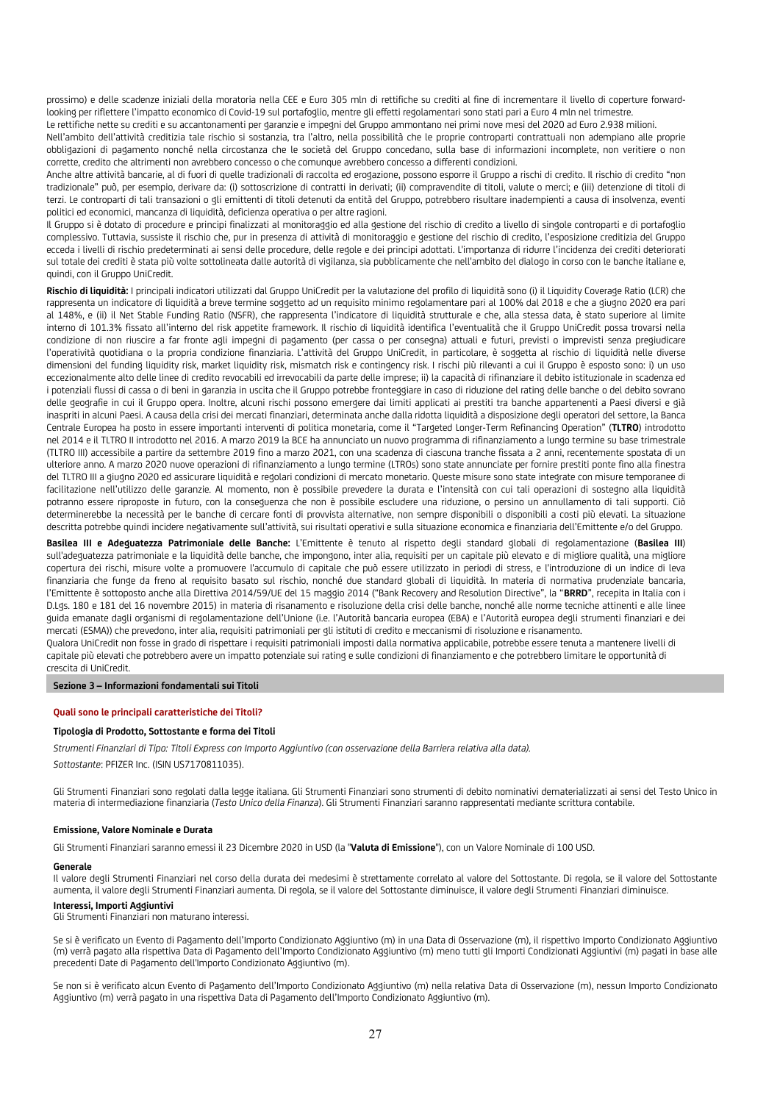prossimo) e delle scadenze iniziali della moratoria nella CEE e Euro 305 mln di rettifiche su crediti al fine di incrementare il livello di coperture forwardlooking per riflettere l'impatto economico di Covid-19 sul portafoglio, mentre gli effetti regolamentari sono stati pari a Euro 4 mln nel trimestre.

Le rettifiche nette su crediti e su accantonamenti per garanzie e impegni del Gruppo ammontano nei primi nove mesi del 2020 ad Euro 2.938 milioni. Nell'ambito dell'attività creditizia tale rischio si sostanzia, tra l'altro, nella possibilità che le proprie controparti contrattuali non adempiano alle proprie obbligazioni di pagamento nonché nella circostanza che le società del Gruppo concedano, sulla base di informazioni incomplete, non veritiere o non corrette, credito che altrimenti non avrebbero concesso o che comunque avrebbero concesso a differenti condizioni.

Anche altre attività bancarie, al di fuori di quelle tradizionali di raccolta ed erogazione, possono esporre il Gruppo a rischi di credito. Il rischio di credito "non tradizionale" può, per esempio, derivare da: (i) sottoscrizione di contratti in derivati; (ii) compravendite di titoli, valute o merci; e (iii) detenzione di titoli di terzi. Le controparti di tali transazioni o gli emittenti di titoli detenuti da entità del Gruppo, potrebbero risultare inadempienti a causa di insolvenza, eventi politici ed economici, mancanza di liquidità, deficienza operativa o per altre ragioni.

Il Gruppo si è dotato di procedure e principi finalizzati al monitoraggio ed alla gestione del rischio di credito a livello di singole controparti e di portafoglio complessivo. Tuttavia, sussiste il rischio che, pur in presenza di attività di monitoraggio e gestione del rischio di credito, l'esposizione creditizia del Gruppo ecceda i livelli di rischio predeterminati ai sensi delle procedure, delle regole e dei principi adottati. L'importanza di ridurre l'incidenza dei crediti deteriorati sul totale dei crediti è stata più volte sottolineata dalle autorità di vigilanza, sia pubblicamente che nell'ambito del dialogo in corso con le banche italiane e, quindi, con il Gruppo UniCredit.

**Rischio di liquidità:** I principali indicatori utilizzati dal Gruppo UniCredit per la valutazione del profilo di liquidità sono (i) il Liquidity Coverage Ratio (LCR) che rappresenta un indicatore di liquidità a breve termine soggetto ad un requisito minimo regolamentare pari al 100% dal 2018 e che a giugno 2020 era pari al 148%, e (ii) il Net Stable Funding Ratio (NSFR), che rappresenta l'indicatore di liquidità strutturale e che, alla stessa data, è stato superiore al limite interno di 101.3% fissato all'interno del risk appetite framework. Il rischio di liquidità identifica l'eventualità che il Gruppo UniCredit possa trovarsi nella condizione di non riuscire a far fronte agli impegni di pagamento (per cassa o per consegna) attuali e futuri, previsti o imprevisti senza pregiudicare l'operatività quotidiana o la propria condizione finanziaria. L'attività del Gruppo UniCredit, in particolare, è soggetta al rischio di liquidità nelle diverse dimensioni del funding liquidity risk, market liquidity risk, mismatch risk e contingency risk. I rischi più rilevanti a cui il Gruppo è esposto sono: i) un uso eccezionalmente alto delle linee di credito revocabili ed irrevocabili da parte delle imprese; ii) la capacità di rifinanziare il debito istituzionale in scadenza ed i potenziali flussi di cassa o di beni in garanzia in uscita che il Gruppo potrebbe fronteggiare in caso di riduzione del rating delle banche o del debito sovrano delle geografie in cui il Gruppo opera. Inoltre, alcuni rischi possono emergere dai limiti applicati ai prestiti tra banche appartenenti a Paesi diversi e già inaspriti in alcuni Paesi. A causa della crisi dei mercati finanziari, determinata anche dalla ridotta liquidità a disposizione degli operatori del settore, la Banca Centrale Europea ha posto in essere importanti interventi di politica monetaria, come il "Targeted Longer-Term Refinancing Operation" (**TLTRO**) introdotto nel 2014 e il TLTRO II introdotto nel 2016. A marzo 2019 la BCE ha annunciato un nuovo programma di rifinanziamento a lungo termine su base trimestrale (TLTRO III) accessibile a partire da settembre 2019 fino a marzo 2021, con una scadenza di ciascuna tranche fissata a 2 anni, recentemente spostata di un ulteriore anno. A marzo 2020 nuove operazioni di rifinanziamento a lungo termine (LTROs) sono state annunciate per fornire prestiti ponte fino alla finestra del TLTRO III a giugno 2020 ed assicurare liquidità e regolari condizioni di mercato monetario. Queste misure sono state integrate con misure temporanee di facilitazione nell'utilizzo delle garanzie. Al momento, non è possibile prevedere la durata e l'intensità con cui tali operazioni di sostegno alla liquidità potranno essere riproposte in futuro, con la conseguenza che non è possibile escludere una riduzione, o persino un annullamento di tali supporti. Ciò determinerebbe la necessità per le banche di cercare fonti di provvista alternative, non sempre disponibili o disponibili a costi più elevati. La situazione descritta potrebbe quindi incidere negativamente sull'attività, sui risultati operativi e sulla situazione economica e finanziaria dell'Emittente e/o del Gruppo.

**Basilea III e Adeguatezza Patrimoniale delle Banche:** L'Emittente è tenuto al rispetto degli standard globali di regolamentazione (**Basilea III**) sull'adeguatezza patrimoniale e la liquidità delle banche, che impongono, inter alia, requisiti per un capitale più elevato e di migliore qualità, una migliore copertura dei rischi, misure volte a promuovere l'accumulo di capitale che può essere utilizzato in periodi di stress, e l'introduzione di un indice di leva finanziaria che funge da freno al requisito basato sul rischio, nonché due standard globali di liquidità. In materia di normativa prudenziale bancaria, l'Emittente è sottoposto anche alla Direttiva 2014/59/UE del 15 maggio 2014 ("Bank Recovery and Resolution Directive", la "**BRRD**", recepita in Italia con i D.Lgs. 180 e 181 del 16 novembre 2015) in materia di risanamento e risoluzione della crisi delle banche, nonché alle norme tecniche attinenti e alle linee guida emanate dagli organismi di regolamentazione dell'Unione (i.e. l'Autorità bancaria europea (EBA) e l'Autorità europea degli strumenti finanziari e dei mercati (ESMA)) che prevedono, inter alia, requisiti patrimoniali per gli istituti di credito e meccanismi di risoluzione e risanamento.

Qualora UniCredit non fosse in grado di rispettare i requisiti patrimoniali imposti dalla normativa applicabile, potrebbe essere tenuta a mantenere livelli di capitale più elevati che potrebbero avere un impatto potenziale sui rating e sulle condizioni di finanziamento e che potrebbero limitare le opportunità di crescita di UniCredit.

#### **Sezione 3 – Informazioni fondamentali sui Titoli**

#### **Quali sono le principali caratteristiche dei Titoli?**

#### **Tipologia di Prodotto, Sottostante e forma dei Titoli**

*Strumenti Finanziari di Tipo: Titoli Express con Importo Aggiuntivo (con osservazione della Barriera relativa alla data).*

*Sottostante*: PFIZER Inc. (ISIN US7170811035).

Gli Strumenti Finanziari sono regolati dalla legge italiana. Gli Strumenti Finanziari sono strumenti di debito nominativi dematerializzati ai sensi del Testo Unico in materia di intermediazione finanziaria (*Testo Unico della Finanza*). Gli Strumenti Finanziari saranno rappresentati mediante scrittura contabile.

#### **Emissione, Valore Nominale e Durata**

Gli Strumenti Finanziari saranno emessi il 23 Dicembre 2020 in USD (la "**Valuta di Emissione**"), con un Valore Nominale di 100 USD.

#### **Generale**

Il valore degli Strumenti Finanziari nel corso della durata dei medesimi è strettamente correlato al valore del Sottostante. Di regola, se il valore del Sottostante aumenta, il valore degli Strumenti Finanziari aumenta. Di regola, se il valore del Sottostante diminuisce, il valore degli Strumenti Finanziari diminuisce.

#### **Interessi, Importi Aggiuntivi**

Gli Strumenti Finanziari non maturano interessi.

Se si è verificato un Evento di Pagamento dell'Importo Condizionato Aggiuntivo (m) in una Data di Osservazione (m), il rispettivo Importo Condizionato Aggiuntivo (m) verrà pagato alla rispettiva Data di Pagamento dell'Importo Condizionato Aggiuntivo (m) meno tutti gli Importi Condizionati Aggiuntivi (m) pagati in base alle precedenti Date di Pagamento dell'Importo Condizionato Aggiuntivo (m).

Se non si è verificato alcun Evento di Pagamento dell'Importo Condizionato Aggiuntivo (m) nella relativa Data di Osservazione (m), nessun Importo Condizionato Aggiuntivo (m) verrà pagato in una rispettiva Data di Pagamento dell'Importo Condizionato Aggiuntivo (m).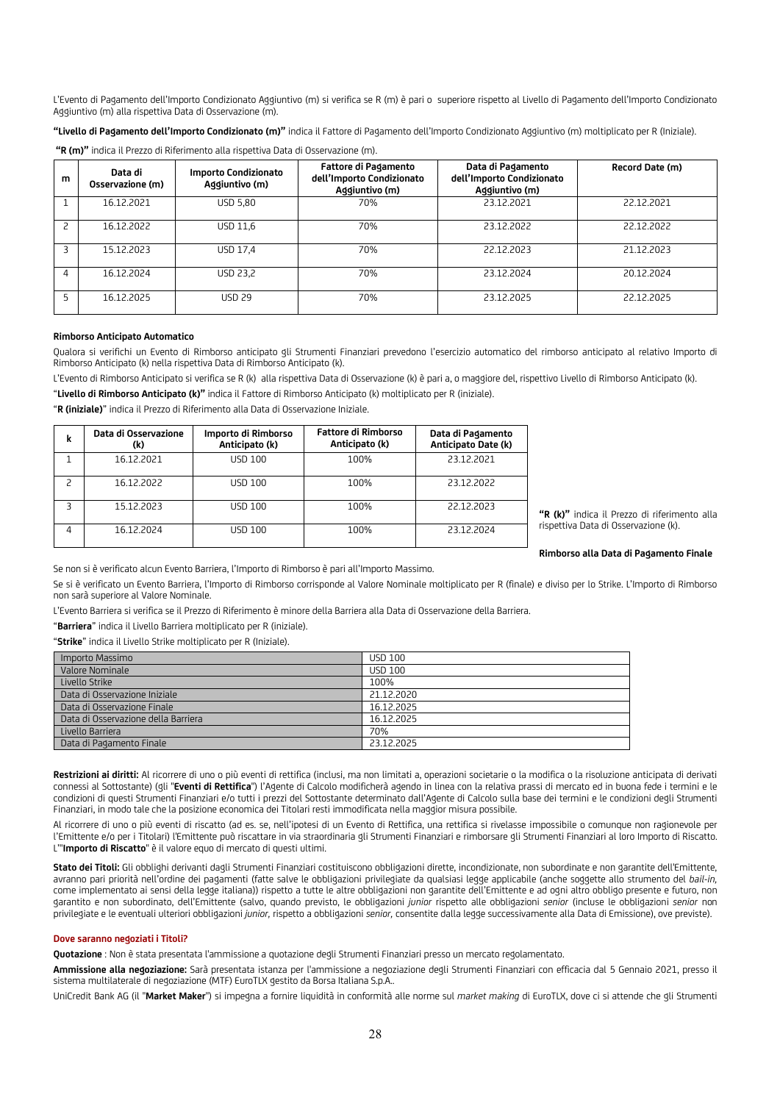L'Evento di Pagamento dell'Importo Condizionato Aggiuntivo (m) si verifica se R (m) è pari o superiore rispetto al Livello di Pagamento dell'Importo Condizionato Aggiuntivo (m) alla rispettiva Data di Osservazione (m).

**"Livello di Pagamento dell'Importo Condizionato (m)"** indica il Fattore di Pagamento dell'Importo Condizionato Aggiuntivo (m) moltiplicato per R (Iniziale).

| "R (m)" indica il Prezzo di Riferimento alla rispettiva Data di Osservazione (m). |  |  |
|-----------------------------------------------------------------------------------|--|--|
|-----------------------------------------------------------------------------------|--|--|

| m | Data di<br>Osservazione (m) | Importo Condizionato<br>Aggiuntivo (m) | Fattore di Pagamento<br>dell'Importo Condizionato<br>Aggiuntivo (m) | Data di Pagamento<br>dell'Importo Condizionato<br>Aggiuntivo (m) | Record Date (m) |
|---|-----------------------------|----------------------------------------|---------------------------------------------------------------------|------------------------------------------------------------------|-----------------|
|   | 16.12.2021                  | <b>USD 5.80</b>                        | 70%                                                                 | 23.12.2021                                                       | 22.12.2021      |
|   | 16.12.2022                  | USD 11.6                               | 70%                                                                 | 23.12.2022                                                       | 22.12.2022      |
|   | 15.12.2023                  | <b>USD 17.4</b>                        | 70%                                                                 | 22.12.2023                                                       | 21.12.2023      |
| 4 | 16.12.2024                  | USD 23,2                               | 70%                                                                 | 23.12.2024                                                       | 20.12.2024      |
| 5 | 16.12.2025                  | <b>USD 29</b>                          | 70%                                                                 | 23.12.2025                                                       | 22.12.2025      |

#### **Rimborso Anticipato Automatico**

Qualora si verifichi un Evento di Rimborso anticipato gli Strumenti Finanziari prevedono l'esercizio automatico del rimborso anticipato al relativo Importo di Rimborso Anticipato (k) nella rispettiva Data di Rimborso Anticipato (k).

L'Evento di Rimborso Anticipato si verifica se R (k) alla rispettiva Data di Osservazione (k) è pari a, o maggiore del, rispettivo Livello di Rimborso Anticipato (k).

"**Livello di Rimborso Anticipato (k)"** indica il Fattore di Rimborso Anticipato (k) moltiplicato per R (iniziale).

"**R (iniziale)**" indica il Prezzo di Riferimento alla Data di Osservazione Iniziale.

| k | Data di Osservazione<br>(k) | Importo di Rimborso<br>Anticipato (k) | <b>Fattore di Rimborso</b><br>Anticipato (k) | Data di Pagamento<br>Anticipato Date (k) |
|---|-----------------------------|---------------------------------------|----------------------------------------------|------------------------------------------|
|   | 16.12.2021                  | <b>USD 100</b>                        | 100%                                         | 23.12.2021                               |
|   | 16.12.2022                  | USD 100                               | 100%                                         | 23.12.2022                               |
| 3 | 15.12.2023                  | USD 100                               | 100%                                         | 22.12.2023                               |
|   | 16.12.2024                  | USD 100                               | 100%                                         | 23.12.2024                               |

**"R (k)"** indica il Prezzo di riferimento alla rispettiva Data di Osservazione (k).

**Rimborso alla Data di Pagamento Finale**

Se non si è verificato alcun Evento Barriera, l'Importo di Rimborso è pari all'Importo Massimo.

Se si è verificato un Evento Barriera, l'Importo di Rimborso corrisponde al Valore Nominale moltiplicato per R (finale) e diviso per lo Strike. L'Importo di Rimborso non sarà superiore al Valore Nominale.

L'Evento Barriera si verifica se il Prezzo di Riferimento è minore della Barriera alla Data di Osservazione della Barriera.

"**Barriera**" indica il Livello Barriera moltiplicato per R (iniziale).

"**Strike**" indica il Livello Strike moltiplicato per R (Iniziale).

| Importo Massimo                     | <b>USD 100</b> |
|-------------------------------------|----------------|
| Valore Nominale                     | <b>USD 100</b> |
| Livello Strike                      | 100%           |
| Data di Osservazione Iniziale       | 21.12.2020     |
| Data di Osservazione Finale         | 16.12.2025     |
| Data di Osservazione della Barriera | 16.12.2025     |
| Livello Barriera                    | 70%            |
| Data di Pagamento Finale            | 23.12.2025     |

Restrizioni ai diritti: Al ricorrere di uno o più eventi di rettifica (inclusi, ma non limitati a, operazioni societarie o la modifica o la risoluzione anticipata di derivati connessi al Sottostante) (gli "**Eventi di Rettifica**") l'Agente di Calcolo modificherà agendo in linea con la relativa prassi di mercato ed in buona fede i termini e le condizioni di questi Strumenti Finanziari e/o tutti i prezzi del Sottostante determinato dall'Agente di Calcolo sulla base dei termini e le condizioni degli Strumenti Finanziari, in modo tale che la posizione economica dei Titolari resti immodificata nella maggior misura possibile.

Al ricorrere di uno o più eventi di riscatto (ad es. se, nell'ipotesi di un Evento di Rettifica, una rettifica si rivelasse impossibile o comunque non ragionevole per l'Emittente e/o per i Titolari) l'Emittente può riscattare in via straordinaria gli Strumenti Finanziari e rimborsare gli Strumenti Finanziari al loro Importo di Riscatto. L'"**Importo di Riscatto**" è il valore equo di mercato di questi ultimi.

**Stato dei Titoli:** Gli obblighi derivanti dagli Strumenti Finanziari costituiscono obbligazioni dirette, incondizionate, non subordinate e non garantite dell'Emittente, avranno pari priorità nell'ordine dei pagamenti (fatte salve le obbligazioni privilegiate da qualsiasi legge applicabile (anche soggette allo strumento del *bail-in,* come implementato ai sensi della legge italiana)) rispetto a tutte le altre obbligazioni non garantite dell'Emittente e ad ogni altro obbligo presente e futuro, non garantito e non subordinato, dell'Emittente (salvo, quando previsto, le obbligazioni *junior* rispetto alle obbligazioni *senior* (incluse le obbligazioni *senior* non privilegiate e le eventuali ulteriori obbligazioni *junior,* rispetto a obbligazioni *senior,* consentite dalla legge successivamente alla Data di Emissione), ove previste).

#### **Dove saranno negoziati i Titoli?**

**Quotazione** : Non è stata presentata l'ammissione a quotazione degli Strumenti Finanziari presso un mercato regolamentato.

**Ammissione alla negoziazione:** Sarà presentata istanza per l'ammissione a negoziazione degli Strumenti Finanziari con efficacia dal 5 Gennaio 2021, presso il sistema multilaterale di negoziazione (MTF) EuroTLX gestito da Borsa Italiana S.p.A..

UniCredit Bank AG (il "**Market Maker**") si impegna a fornire liquidità in conformità alle norme sul *market making* di EuroTLX, dove ci si attende che gli Strumenti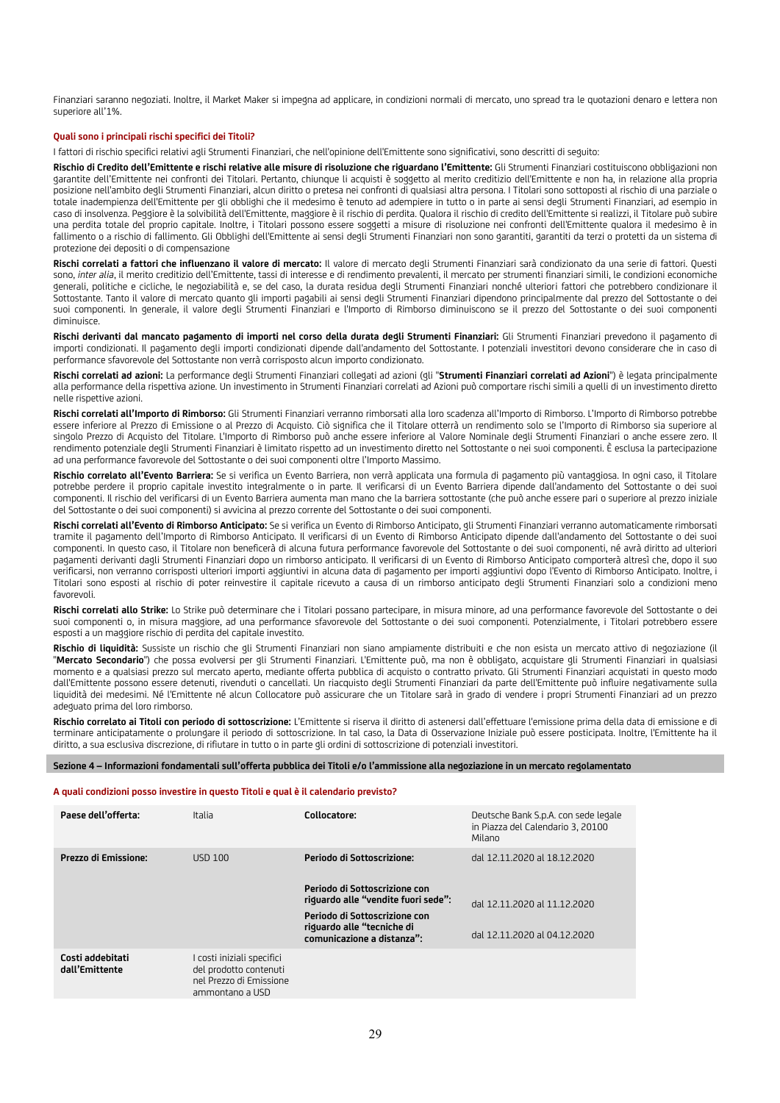Finanziari saranno negoziati. Inoltre, il Market Maker si impegna ad applicare, in condizioni normali di mercato, uno spread tra le quotazioni denaro e lettera non superiore all'1%.

### **Quali sono i principali rischi specifici dei Titoli?**

I fattori di rischio specifici relativi agli Strumenti Finanziari, che nell'opinione dell'Emittente sono significativi, sono descritti di seguito:

Rischio di Credito dell'Emittente e rischi relative alle misure di risoluzione che riquardano l'Emittente: Gli Strumenti Finanziari costituiscono obbligazioni non garantite dell'Emittente nei confronti dei Titolari. Pertanto, chiunque li acquisti è soggetto al merito creditizio dell'Emittente e non ha, in relazione alla propria posizione nell'ambito degli Strumenti Finanziari, alcun diritto o pretesa nei confronti di qualsiasi altra persona. I Titolari sono sottoposti al rischio di una parziale o totale inadempienza dell'Emittente per gli obblighi che il medesimo è tenuto ad adempiere in tutto o in parte ai sensi degli Strumenti Finanziari, ad esempio in caso di insolvenza. Peggiore è la solvibilità dell'Emittente, maggiore è il rischio di perdita. Qualora il rischio di credito dell'Emittente si realizzi, il Titolare può subire una perdita totale del proprio capitale. Inoltre, i Titolari possono essere soggetti a misure di risoluzione nei confronti dell'Emittente qualora il medesimo è in fallimento o a rischio di fallimento. Gli Obblighi dell'Emittente ai sensi degli Strumenti Finanziari non sono garantiti, garantiti da terzi o protetti da un sistema di protezione dei depositi o di compensazione

**Rischi correlati a fattori che influenzano il valore di mercato:** Il valore di mercato degli Strumenti Finanziari sarà condizionato da una serie di fattori. Questi sono, *inter alia*, il merito creditizio dell'Emittente, tassi di interesse e di rendimento prevalenti, il mercato per strumenti finanziari simili, le condizioni economiche generali, politiche e cicliche, le negoziabilità e, se del caso, la durata residua degli Strumenti Finanziari nonché ulteriori fattori che potrebbero condizionare il Sottostante. Tanto il valore di mercato quanto gli importi pagabili ai sensi degli Strumenti Finanziari dipendono principalmente dal prezzo del Sottostante o dei suoi componenti. In generale, il valore degli Strumenti Finanziari e l'Importo di Rimborso diminuiscono se il prezzo del Sottostante o dei suoi componenti diminuisce.

Rischi derivanti dal mancato pagamento di importi nel corso della durata degli Strumenti Finanziari: Gli Strumenti Finanziari prevedono il pagamento di importi condizionati. Il pagamento degli importi condizionati dipende dall'andamento del Sottostante. I potenziali investitori devono considerare che in caso di performance sfavorevole del Sottostante non verrà corrisposto alcun importo condizionato.

**Rischi correlati ad azioni:** La performance degli Strumenti Finanziari collegati ad azioni (gli "**Strumenti Finanziari correlati ad Azioni**") è legata principalmente alla performance della rispettiva azione. Un investimento in Strumenti Finanziari correlati ad Azioni può comportare rischi simili a quelli di un investimento diretto nelle rispettive azioni.

**Rischi correlati all'Importo di Rimborso:** Gli Strumenti Finanziari verranno rimborsati alla loro scadenza all'Importo di Rimborso. L'Importo di Rimborso potrebbe essere inferiore al Prezzo di Emissione o al Prezzo di Acquisto. Ciò significa che il Titolare otterrà un rendimento solo se l'Importo di Rimborso sia superiore al singolo Prezzo di Acquisto del Titolare. L'Importo di Rimborso può anche essere inferiore al Valore Nominale degli Strumenti Finanziari o anche essere zero. Il rendimento potenziale degli Strumenti Finanziari è limitato rispetto ad un investimento diretto nel Sottostante o nei suoi componenti. È esclusa la partecipazione ad una performance favorevole del Sottostante o dei suoi componenti oltre l'Importo Massimo.

**Rischio correlato all'Evento Barriera:** Se si verifica un Evento Barriera, non verrà applicata una formula di pagamento più vantaggiosa. In ogni caso, il Titolare potrebbe perdere il proprio capitale investito integralmente o in parte. Il verificarsi di un Evento Barriera dipende dall'andamento del Sottostante o dei suoi componenti. Il rischio del verificarsi di un Evento Barriera aumenta man mano che la barriera sottostante (che può anche essere pari o superiore al prezzo iniziale del Sottostante o dei suoi componenti) si avvicina al prezzo corrente del Sottostante o dei suoi componenti.

**Rischi correlati all'Evento di Rimborso Anticipato:** Se si verifica un Evento di Rimborso Anticipato, gli Strumenti Finanziari verranno automaticamente rimborsati tramite il pagamento dell'Importo di Rimborso Anticipato. Il verificarsi di un Evento di Rimborso Anticipato dipende dall'andamento del Sottostante o dei suoi componenti. In questo caso, il Titolare non beneficerà di alcuna futura performance favorevole del Sottostante o dei suoi componenti, né avrà diritto ad ulteriori pagamenti derivanti dagli Strumenti Finanziari dopo un rimborso anticipato. Il verificarsi di un Evento di Rimborso Anticipato comporterà altresì che, dopo il suo verificarsi, non verranno corrisposti ulteriori importi aggiuntivi in alcuna data di pagamento per importi aggiuntivi dopo l'Evento di Rimborso Anticipato. Inoltre, i Titolari sono esposti al rischio di poter reinvestire il capitale ricevuto a causa di un rimborso anticipato degli Strumenti Finanziari solo a condizioni meno favorevoli.

**Rischi correlati allo Strike:** Lo Strike può determinare che i Titolari possano partecipare, in misura minore, ad una performance favorevole del Sottostante o dei suoi componenti o, in misura maggiore, ad una performance sfavorevole del Sottostante o dei suoi componenti. Potenzialmente, i Titolari potrebbero essere esposti a un maggiore rischio di perdita del capitale investito.

**Rischio di liquidità:** Sussiste un rischio che gli Strumenti Finanziari non siano ampiamente distribuiti e che non esista un mercato attivo di negoziazione (il "**Mercato Secondario**") che possa evolversi per gli Strumenti Finanziari. L'Emittente può, ma non è obbligato, acquistare gli Strumenti Finanziari in qualsiasi momento e a qualsiasi prezzo sul mercato aperto, mediante offerta pubblica di acquisto o contratto privato. Gli Strumenti Finanziari acquistati in questo modo dall'Emittente possono essere detenuti, rivenduti o cancellati. Un riacquisto degli Strumenti Finanziari da parte dell'Emittente può influire negativamente sulla liquidità dei medesimi. Né l'Emittente né alcun Collocatore può assicurare che un Titolare sarà in grado di vendere i propri Strumenti Finanziari ad un prezzo adeguato prima del loro rimborso.

**Rischio correlato ai Titoli con periodo di sottoscrizione:** L'Emittente si riserva il diritto di astenersi dall'effettuare l'emissione prima della data di emissione e di terminare anticipatamente o prolungare il periodo di sottoscrizione. In tal caso, la Data di Osservazione Iniziale può essere posticipata. Inoltre, l'Emittente ha il diritto, a sua esclusiva discrezione, di rifiutare in tutto o in parte gli ordini di sottoscrizione di potenziali investitori.

### **Sezione 4 – Informazioni fondamentali sull'offerta pubblica dei Titoli e/o l'ammissione alla negoziazione in un mercato regolamentato**

#### **A quali condizioni posso investire in questo Titoli e qual è il calendario previsto?**

| Paese dell'offerta:                | Italia                                                                                             | Collocatore:                                                                                                                                                      | Deutsche Bank S.p.A. con sede legale<br>in Piazza del Calendario 3, 20100<br>Milano |
|------------------------------------|----------------------------------------------------------------------------------------------------|-------------------------------------------------------------------------------------------------------------------------------------------------------------------|-------------------------------------------------------------------------------------|
| Prezzo di Emissione:               | $USD$ 100                                                                                          | Periodo di Sottoscrizione:                                                                                                                                        | dal 12.11.2020 al 18.12.2020                                                        |
|                                    |                                                                                                    | Periodo di Sottoscrizione con<br>riquardo alle "vendite fuori sede":<br>Periodo di Sottoscrizione con<br>riquardo alle "tecniche di<br>comunicazione a distanza": | dal 12.11.2020 al 11.12.2020<br>dal 12.11.2020 al 04.12.2020                        |
| Costi addebitati<br>dall'Emittente | I costi iniziali specifici<br>del prodotto contenuti<br>nel Prezzo di Emissione<br>ammontano a USD |                                                                                                                                                                   |                                                                                     |